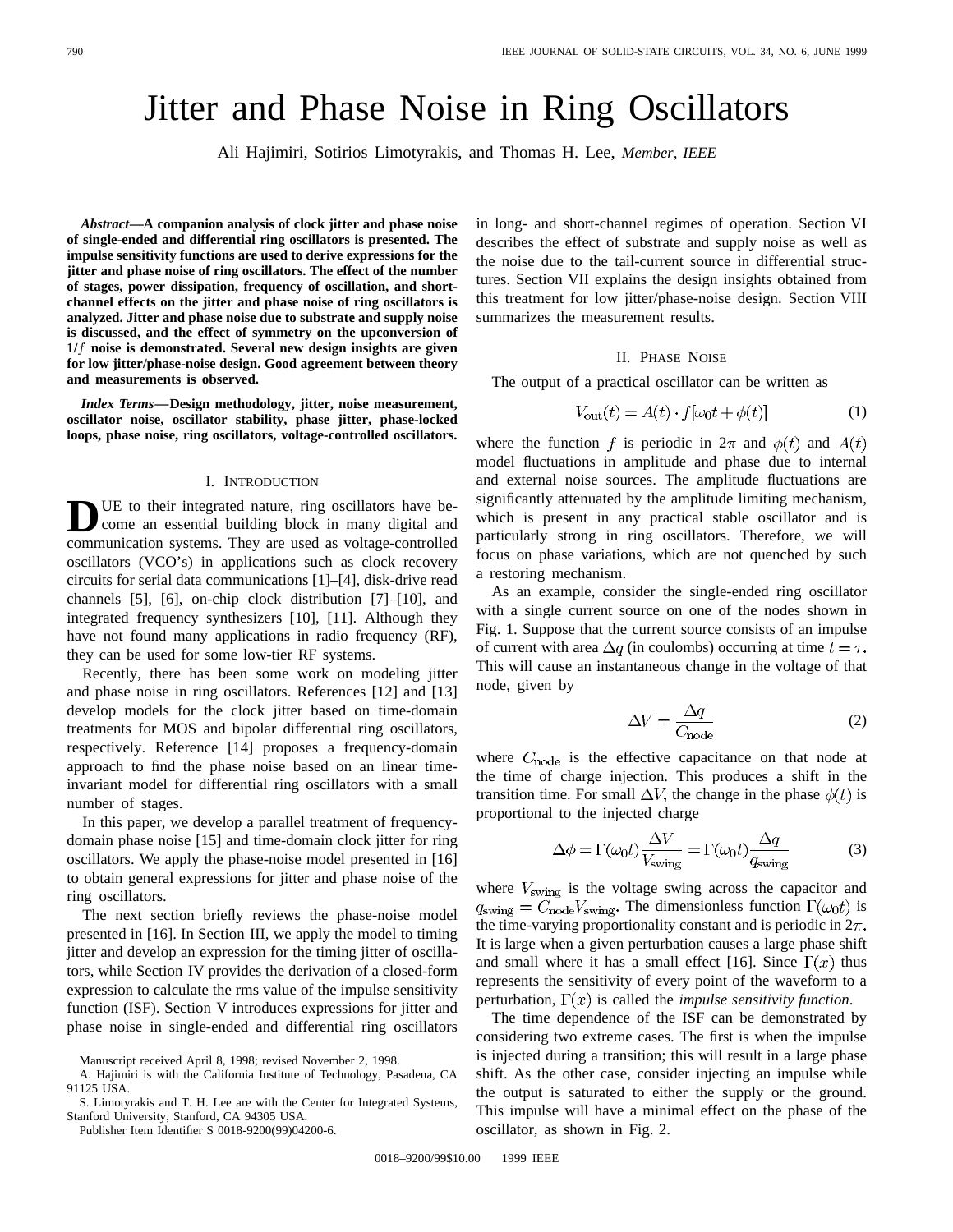# Jitter and Phase Noise in Ring Oscillators

Ali Hajimiri, Sotirios Limotyrakis, and Thomas H. Lee, *Member, IEEE*

*Abstract—***A companion analysis of clock jitter and phase noise of single-ended and differential ring oscillators is presented. The impulse sensitivity functions are used to derive expressions for the jitter and phase noise of ring oscillators. The effect of the number of stages, power dissipation, frequency of oscillation, and shortchannel effects on the jitter and phase noise of ring oscillators is analyzed. Jitter and phase noise due to substrate and supply noise is discussed, and the effect of symmetry on the upconversion of 1/**f **noise is demonstrated. Several new design insights are given for low jitter/phase-noise design. Good agreement between theory and measurements is observed.**

*Index Terms—***Design methodology, jitter, noise measurement, oscillator noise, oscillator stability, phase jitter, phase-locked loops, phase noise, ring oscillators, voltage-controlled oscillators.**

#### I. INTRODUCTION

UE to their integrated nature, ring oscillators have become an essential building block in many digital and communication systems. They are used as voltage-controlled oscillators (VCO's) in applications such as clock recovery circuits for serial data communications [1]–[4], disk-drive read channels [5], [6], on-chip clock distribution [7]–[10], and integrated frequency synthesizers [10], [11]. Although they have not found many applications in radio frequency (RF), they can be used for some low-tier RF systems.

Recently, there has been some work on modeling jitter and phase noise in ring oscillators. References [12] and [13] develop models for the clock jitter based on time-domain treatments for MOS and bipolar differential ring oscillators, respectively. Reference [14] proposes a frequency-domain approach to find the phase noise based on an linear timeinvariant model for differential ring oscillators with a small number of stages.

In this paper, we develop a parallel treatment of frequencydomain phase noise [15] and time-domain clock jitter for ring oscillators. We apply the phase-noise model presented in [16] to obtain general expressions for jitter and phase noise of the ring oscillators.

The next section briefly reviews the phase-noise model presented in [16]. In Section III, we apply the model to timing jitter and develop an expression for the timing jitter of oscillators, while Section IV provides the derivation of a closed-form expression to calculate the rms value of the impulse sensitivity function (ISF). Section V introduces expressions for jitter and phase noise in single-ended and differential ring oscillators

S. Limotyrakis and T. H. Lee are with the Center for Integrated Systems, Stanford University, Stanford, CA 94305 USA.

Publisher Item Identifier S 0018-9200(99)04200-6.

in long- and short-channel regimes of operation. Section VI describes the effect of substrate and supply noise as well as the noise due to the tail-current source in differential structures. Section VII explains the design insights obtained from this treatment for low jitter/phase-noise design. Section VIII summarizes the measurement results.

#### II. PHASE NOISE

The output of a practical oscillator can be written as

$$
V_{\text{out}}(t) = A(t) \cdot f[\omega_0 t + \phi(t)] \tag{1}
$$

where the function f is periodic in  $2\pi$  and  $\phi(t)$  and  $A(t)$ model fluctuations in amplitude and phase due to internal and external noise sources. The amplitude fluctuations are significantly attenuated by the amplitude limiting mechanism, which is present in any practical stable oscillator and is particularly strong in ring oscillators. Therefore, we will focus on phase variations, which are not quenched by such a restoring mechanism.

As an example, consider the single-ended ring oscillator with a single current source on one of the nodes shown in Fig. 1. Suppose that the current source consists of an impulse of current with area  $\Delta q$  (in coulombs) occurring at time  $t = \tau$ . This will cause an instantaneous change in the voltage of that node, given by

$$
\Delta V = \frac{\Delta q}{C_{\text{node}}} \tag{2}
$$

where  $C_{\text{node}}$  is the effective capacitance on that node at the time of charge injection. This produces a shift in the transition time. For small  $\Delta V$ , the change in the phase  $\phi(t)$  is proportional to the injected charge

$$
\Delta \phi = \Gamma(\omega_0 t) \frac{\Delta V}{V_{\text{swing}}} = \Gamma(\omega_0 t) \frac{\Delta q}{q_{\text{swing}}}
$$
(3)

where  $V_{\text{swing}}$  is the voltage swing across the capacitor and  $q_{\text{swing}} = C_{\text{node}} V_{\text{swing}}$ . The dimensionless function  $\Gamma(\omega_0 t)$  is the time-varying proportionality constant and is periodic in  $2\pi$ . It is large when a given perturbation causes a large phase shift and small where it has a small effect [16]. Since  $\Gamma(x)$  thus represents the sensitivity of every point of the waveform to a perturbation,  $\Gamma(x)$  is called the *impulse sensitivity function*.

The time dependence of the ISF can be demonstrated by considering two extreme cases. The first is when the impulse is injected during a transition; this will result in a large phase shift. As the other case, consider injecting an impulse while the output is saturated to either the supply or the ground. This impulse will have a minimal effect on the phase of the oscillator, as shown in Fig. 2.

Manuscript received April 8, 1998; revised November 2, 1998.

A. Hajimiri is with the California Institute of Technology, Pasadena, CA 91125 USA.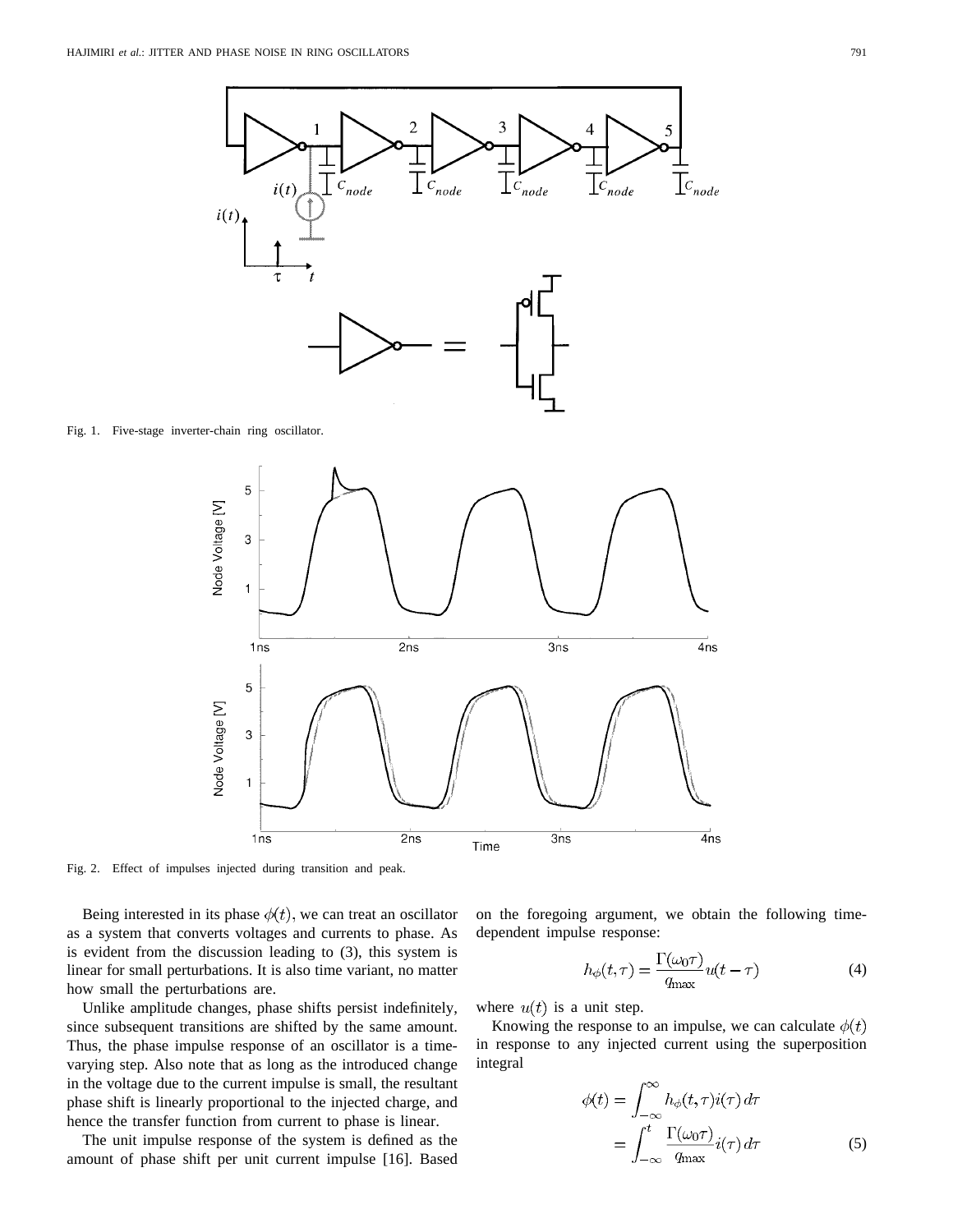

Fig. 1. Five-stage inverter-chain ring oscillator.



Fig. 2. Effect of impulses injected during transition and peak.

Being interested in its phase  $\phi(t)$ , we can treat an oscillator as a system that converts voltages and currents to phase. As is evident from the discussion leading to (3), this system is linear for small perturbations. It is also time variant, no matter how small the perturbations are.

Unlike amplitude changes, phase shifts persist indefinitely, since subsequent transitions are shifted by the same amount. Thus, the phase impulse response of an oscillator is a timevarying step. Also note that as long as the introduced change in the voltage due to the current impulse is small, the resultant phase shift is linearly proportional to the injected charge, and hence the transfer function from current to phase is linear.

The unit impulse response of the system is defined as the amount of phase shift per unit current impulse [16]. Based on the foregoing argument, we obtain the following timedependent impulse response:

$$
h_{\phi}(t,\tau) = \frac{\Gamma(\omega_0 \tau)}{q_{\text{max}}} u(t-\tau)
$$
 (4)

where  $u(t)$  is a unit step.

Knowing the response to an impulse, we can calculate  $\phi(t)$ in response to any injected current using the superposition integral

$$
\phi(t) = \int_{-\infty}^{\infty} h_{\phi}(t, \tau) i(\tau) d\tau \n= \int_{-\infty}^{t} \frac{\Gamma(\omega_0 \tau)}{q_{\text{max}}} i(\tau) d\tau
$$
\n(5)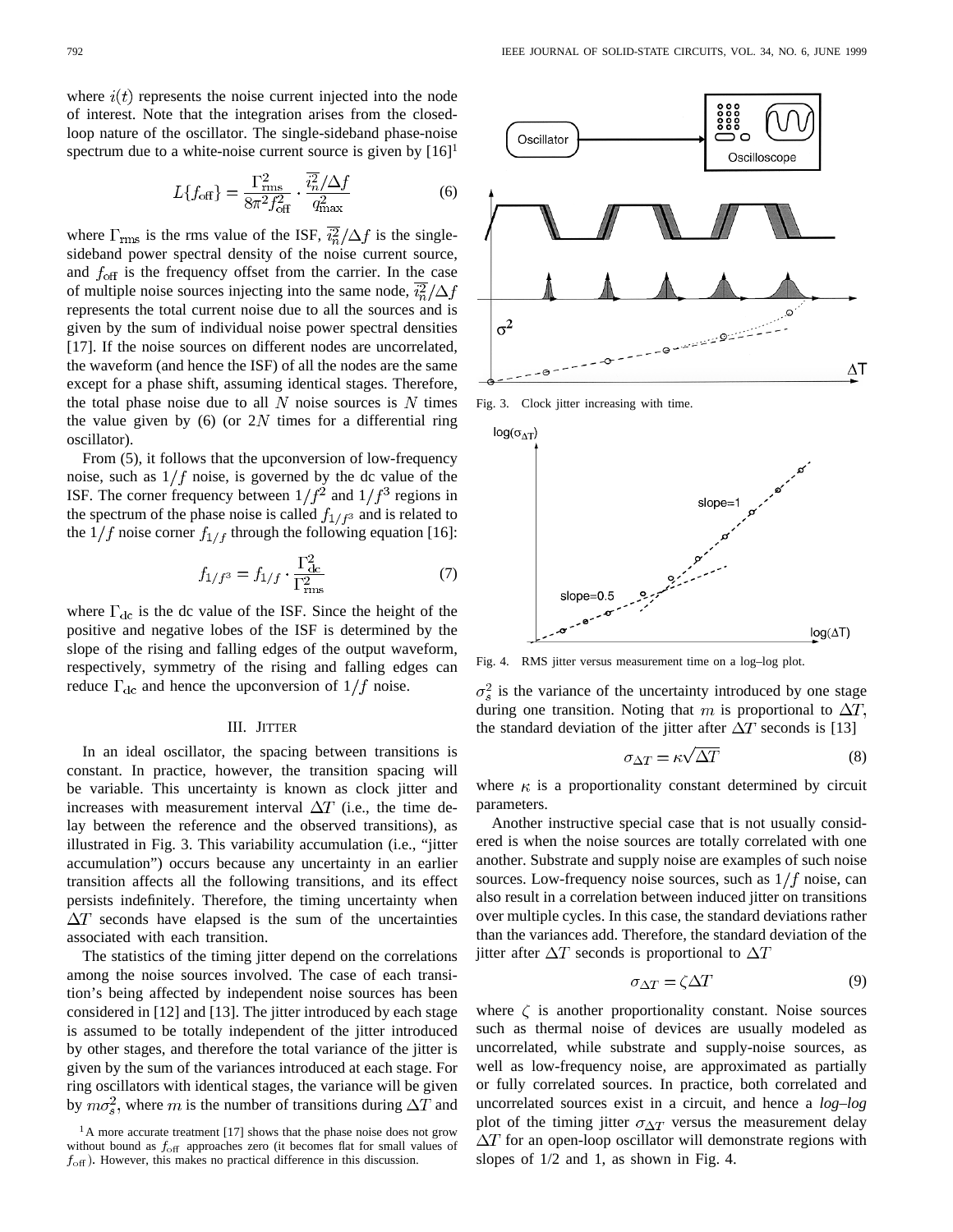where  $i(t)$  represents the noise current injected into the node of interest. Note that the integration arises from the closedloop nature of the oscillator. The single-sideband phase-noise spectrum due to a white-noise current source is given by  $[16]$ <sup>1</sup>

$$
L\{f_{\text{off}}\} = \frac{\Gamma_{\text{rms}}^2}{8\pi^2 f_{\text{off}}^2} \cdot \frac{\overline{i_n^2}/\Delta f}{q_{\text{max}}^2} \tag{6}
$$

where  $\Gamma_{\rm rms}$  is the rms value of the ISF,  $\overline{i_n^2}/\Delta f$  is the singlesideband power spectral density of the noise current source, and  $f_{\text{off}}$  is the frequency offset from the carrier. In the case of multiple noise sources injecting into the same node,  $i_n^2/\Delta f$ represents the total current noise due to all the sources and is given by the sum of individual noise power spectral densities [17]. If the noise sources on different nodes are uncorrelated, the waveform (and hence the ISF) of all the nodes are the same except for a phase shift, assuming identical stages. Therefore, the total phase noise due to all  $N$  noise sources is  $N$  times the value given by (6) (or  $2N$  times for a differential ring oscillator).

From (5), it follows that the upconversion of low-frequency noise, such as  $1/f$  noise, is governed by the dc value of the ISF. The corner frequency between  $1/f^2$  and  $1/f^3$  regions in the spectrum of the phase noise is called  $f_{1/f^3}$  and is related to the  $1/f$  noise corner  $f_{1/f}$  through the following equation [16]:

$$
f_{1/f^3} = f_{1/f} \cdot \frac{\Gamma_{\text{dc}}^2}{\Gamma_{\text{rms}}^2} \tag{7}
$$

where  $\Gamma_{\text{dc}}$  is the dc value of the ISF. Since the height of the positive and negative lobes of the ISF is determined by the slope of the rising and falling edges of the output waveform, respectively, symmetry of the rising and falling edges can reduce  $\Gamma_{\text{dc}}$  and hence the upconversion of  $1/f$  noise.

#### III. JITTER

In an ideal oscillator, the spacing between transitions is constant. In practice, however, the transition spacing will be variable. This uncertainty is known as clock jitter and increases with measurement interval  $\Delta T$  (i.e., the time delay between the reference and the observed transitions), as illustrated in Fig. 3. This variability accumulation (i.e., "jitter accumulation") occurs because any uncertainty in an earlier transition affects all the following transitions, and its effect persists indefinitely. Therefore, the timing uncertainty when  $\Delta T$  seconds have elapsed is the sum of the uncertainties associated with each transition.

The statistics of the timing jitter depend on the correlations among the noise sources involved. The case of each transition's being affected by independent noise sources has been considered in [12] and [13]. The jitter introduced by each stage is assumed to be totally independent of the jitter introduced by other stages, and therefore the total variance of the jitter is given by the sum of the variances introduced at each stage. For ring oscillators with identical stages, the variance will be given by  $m\sigma_s^2$ , where m is the number of transitions during  $\Delta T$  and



Fig. 3. Clock jitter increasing with time.



Fig. 4. RMS jitter versus measurement time on a log–log plot.

 $\sigma_s^2$  is the variance of the uncertainty introduced by one stage during one transition. Noting that m is proportional to  $\Delta T$ , the standard deviation of the jitter after  $\Delta T$  seconds is [13]

$$
\sigma_{\Delta T} = \kappa \sqrt{\Delta T} \tag{8}
$$

where  $\kappa$  is a proportionality constant determined by circuit parameters.

Another instructive special case that is not usually considered is when the noise sources are totally correlated with one another. Substrate and supply noise are examples of such noise sources. Low-frequency noise sources, such as  $1/f$  noise, can also result in a correlation between induced jitter on transitions over multiple cycles. In this case, the standard deviations rather than the variances add. Therefore, the standard deviation of the jitter after  $\Delta T$  seconds is proportional to  $\Delta T$ 

$$
\sigma_{\Delta T} = \zeta \Delta T \tag{9}
$$

where  $\zeta$  is another proportionality constant. Noise sources such as thermal noise of devices are usually modeled as uncorrelated, while substrate and supply-noise sources, as well as low-frequency noise, are approximated as partially or fully correlated sources. In practice, both correlated and uncorrelated sources exist in a circuit, and hence a *log–log* plot of the timing jitter  $\sigma_{\Delta T}$  versus the measurement delay  $\Delta T$  for an open-loop oscillator will demonstrate regions with slopes of 1/2 and 1, as shown in Fig. 4.

 $<sup>1</sup>A$  more accurate treatment [17] shows that the phase noise does not grow</sup> without bound as  $f_{\text{off}}$  approaches zero (it becomes flat for small values of  $f_{\text{off}}$ ). However, this makes no practical difference in this discussion.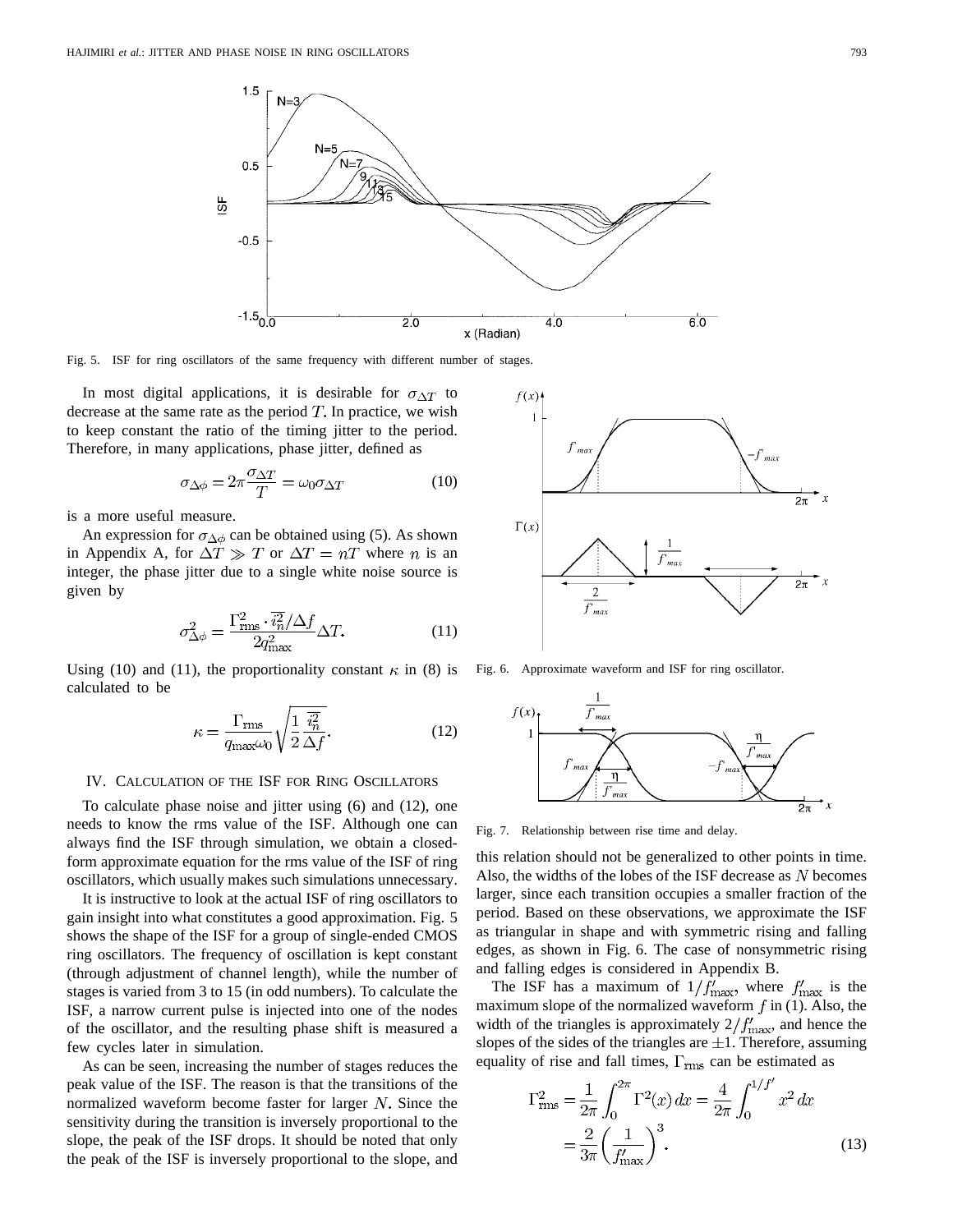

Fig. 5. ISF for ring oscillators of the same frequency with different number of stages.

In most digital applications, it is desirable for  $\sigma_{\Delta T}$  to decrease at the same rate as the period  $T$ . In practice, we wish to keep constant the ratio of the timing jitter to the period. Therefore, in many applications, phase jitter, defined as

$$
\sigma_{\Delta\phi} = 2\pi \frac{\sigma_{\Delta T}}{T} = \omega_0 \sigma_{\Delta T}
$$
 (10)

is a more useful measure.

An expression for  $\sigma_{\Delta\phi}$  can be obtained using (5). As shown in Appendix A, for  $\Delta T \gg T$  or  $\Delta T = nT$  where n is an integer, the phase jitter due to a single white noise source is given by

$$
\sigma_{\Delta\phi}^2 = \frac{\Gamma_{\rm rms}^2 \cdot \overline{i_n^2}/\Delta f}{2q_{\rm max}^2} \Delta T.
$$
 (11)

Using (10) and (11), the proportionality constant  $\kappa$  in (8) is calculated to be

$$
\kappa = \frac{\Gamma_{\rm rms}}{q_{\rm max} \omega_0} \sqrt{\frac{1}{2} \frac{\bar{i}_n^2}{\Delta f}}.
$$
\n(12)

#### IV. CALCULATION OF THE ISF FOR RING OSCILLATORS

To calculate phase noise and jitter using (6) and (12), one needs to know the rms value of the ISF. Although one can always find the ISF through simulation, we obtain a closedform approximate equation for the rms value of the ISF of ring oscillators, which usually makes such simulations unnecessary.

It is instructive to look at the actual ISF of ring oscillators to gain insight into what constitutes a good approximation. Fig. 5 shows the shape of the ISF for a group of single-ended CMOS ring oscillators. The frequency of oscillation is kept constant (through adjustment of channel length), while the number of stages is varied from 3 to 15 (in odd numbers). To calculate the ISF, a narrow current pulse is injected into one of the nodes of the oscillator, and the resulting phase shift is measured a few cycles later in simulation.

As can be seen, increasing the number of stages reduces the peak value of the ISF. The reason is that the transitions of the normalized waveform become faster for larger  $N$ . Since the sensitivity during the transition is inversely proportional to the slope, the peak of the ISF drops. It should be noted that only the peak of the ISF is inversely proportional to the slope, and



Fig. 6. Approximate waveform and ISF for ring oscillator.



Fig. 7. Relationship between rise time and delay.

this relation should not be generalized to other points in time. Also, the widths of the lobes of the ISF decrease as  $N$  becomes larger, since each transition occupies a smaller fraction of the period. Based on these observations, we approximate the ISF as triangular in shape and with symmetric rising and falling edges, as shown in Fig. 6. The case of nonsymmetric rising and falling edges is considered in Appendix B.

The ISF has a maximum of  $1/f'_{\text{max}}$ , where  $f'_{\text{max}}$  is the maximum slope of the normalized waveform  $f$  in (1). Also, the width of the triangles is approximately  $2/f'_{\text{max}}$ , and hence the slopes of the sides of the triangles are  $\pm 1$ . Therefore, assuming equality of rise and fall times,  $\Gamma_{\rm rms}$  can be estimated as

$$
\Gamma_{\rm rms}^2 = \frac{1}{2\pi} \int_0^{2\pi} \Gamma^2(x) \, dx = \frac{4}{2\pi} \int_0^{1/f} x^2 \, dx
$$
\n
$$
= \frac{2}{3\pi} \left( \frac{1}{f'_{\rm max}} \right)^3. \tag{13}
$$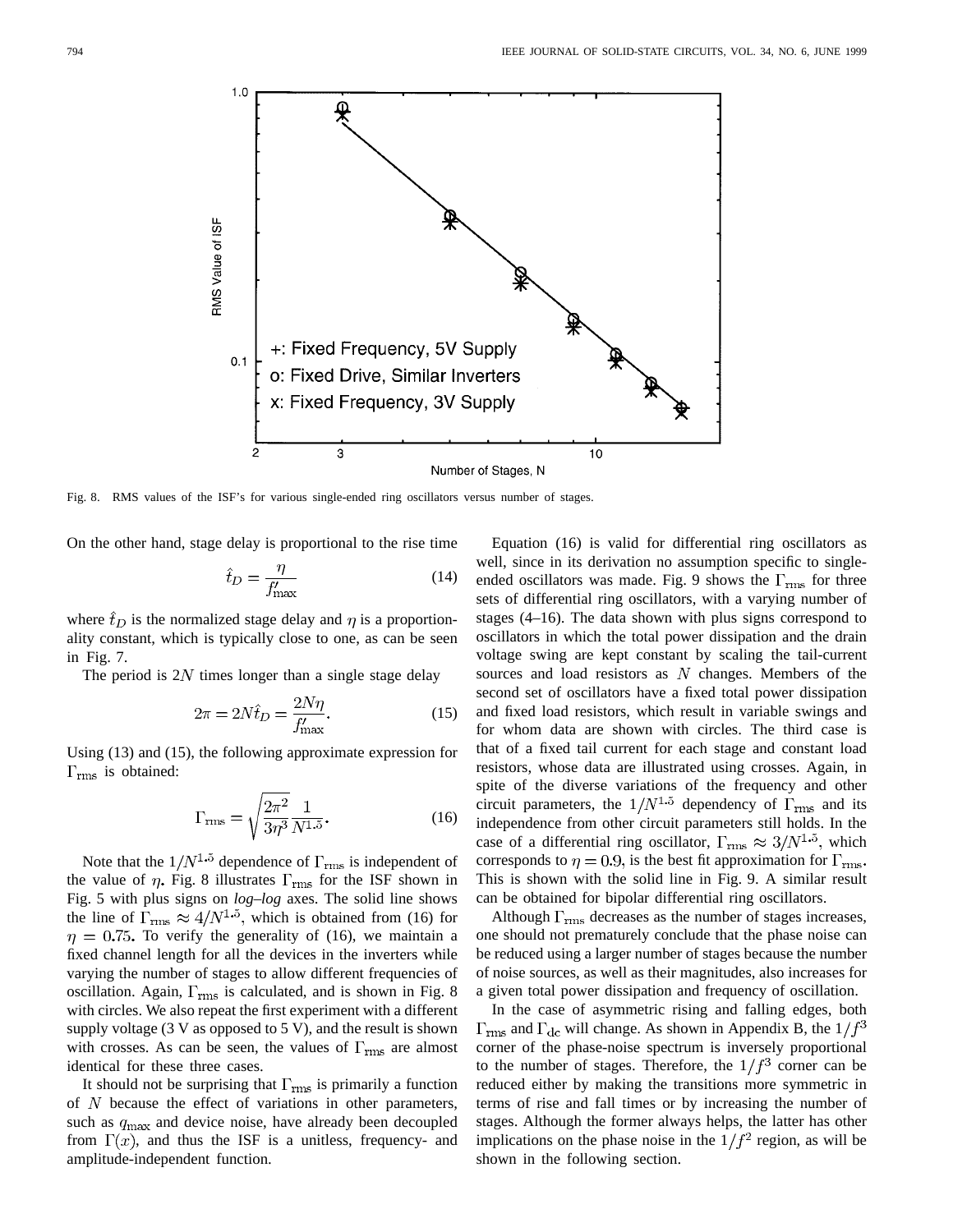

Fig. 8. RMS values of the ISF's for various single-ended ring oscillators versus number of stages.

On the other hand, stage delay is proportional to the rise time

$$
\hat{t}_D = \frac{\eta}{f'_{\text{max}}} \tag{14}
$$

where  $\hat{t}_D$  is the normalized stage delay and  $\eta$  is a proportionality constant, which is typically close to one, as can be seen in Fig. 7.

The period is  $2N$  times longer than a single stage delay

$$
2\pi = 2N\hat{t}_D = \frac{2N\eta}{f'_{\text{max}}}.\tag{15}
$$

Using (13) and (15), the following approximate expression for  $\Gamma_{\rm rms}$  is obtained:

$$
\Gamma_{\rm rms} = \sqrt{\frac{2\pi^2}{3\eta^3}} \frac{1}{N^{1.5}}.
$$
\n(16)

Note that the  $1/N^{1.5}$  dependence of  $\Gamma_{\rm rms}$  is independent of the value of  $\eta$ . Fig. 8 illustrates  $\Gamma_{\rm rms}$  for the ISF shown in Fig. 5 with plus signs on *log–log* axes. The solid line shows the line of  $\Gamma_{\rm rms} \approx 4/N^{1.5}$ , which is obtained from (16) for  $\eta = 0.75$ . To verify the generality of (16), we maintain a fixed channel length for all the devices in the inverters while varying the number of stages to allow different frequencies of oscillation. Again,  $\Gamma_{\rm rms}$  is calculated, and is shown in Fig. 8 with circles. We also repeat the first experiment with a different supply voltage  $(3 \text{ V as opposed to } 5 \text{ V})$ , and the result is shown with crosses. As can be seen, the values of  $\Gamma_{\rm rms}$  are almost identical for these three cases.

It should not be surprising that  $\Gamma_{\rm rms}$  is primarily a function of  $N$  because the effect of variations in other parameters, such as  $q_{\text{max}}$  and device noise, have already been decoupled from  $\Gamma(x)$ , and thus the ISF is a unitless, frequency- and amplitude-independent function.

Equation (16) is valid for differential ring oscillators as well, since in its derivation no assumption specific to singleended oscillators was made. Fig. 9 shows the  $\Gamma_{\rm rms}$  for three sets of differential ring oscillators, with a varying number of stages (4–16). The data shown with plus signs correspond to oscillators in which the total power dissipation and the drain voltage swing are kept constant by scaling the tail-current sources and load resistors as  $N$  changes. Members of the second set of oscillators have a fixed total power dissipation and fixed load resistors, which result in variable swings and for whom data are shown with circles. The third case is that of a fixed tail current for each stage and constant load resistors, whose data are illustrated using crosses. Again, in spite of the diverse variations of the frequency and other circuit parameters, the  $1/N^{1.5}$  dependency of  $\Gamma_{\rm rms}$  and its independence from other circuit parameters still holds. In the case of a differential ring oscillator,  $\Gamma_{\rm rms} \approx 3/N^{1.5}$ , which corresponds to  $\eta = 0.9$ , is the best fit approximation for  $\Gamma_{\rm rms}$ . This is shown with the solid line in Fig. 9. A similar result can be obtained for bipolar differential ring oscillators.

Although  $\Gamma_{\rm rms}$  decreases as the number of stages increases, one should not prematurely conclude that the phase noise can be reduced using a larger number of stages because the number of noise sources, as well as their magnitudes, also increases for a given total power dissipation and frequency of oscillation.

In the case of asymmetric rising and falling edges, both  $\Gamma_{\rm rms}$  and  $\Gamma_{\rm dc}$  will change. As shown in Appendix B, the  $1/f^3$ corner of the phase-noise spectrum is inversely proportional to the number of stages. Therefore, the  $1/f<sup>3</sup>$  corner can be reduced either by making the transitions more symmetric in terms of rise and fall times or by increasing the number of stages. Although the former always helps, the latter has other implications on the phase noise in the  $1/f<sup>2</sup>$  region, as will be shown in the following section.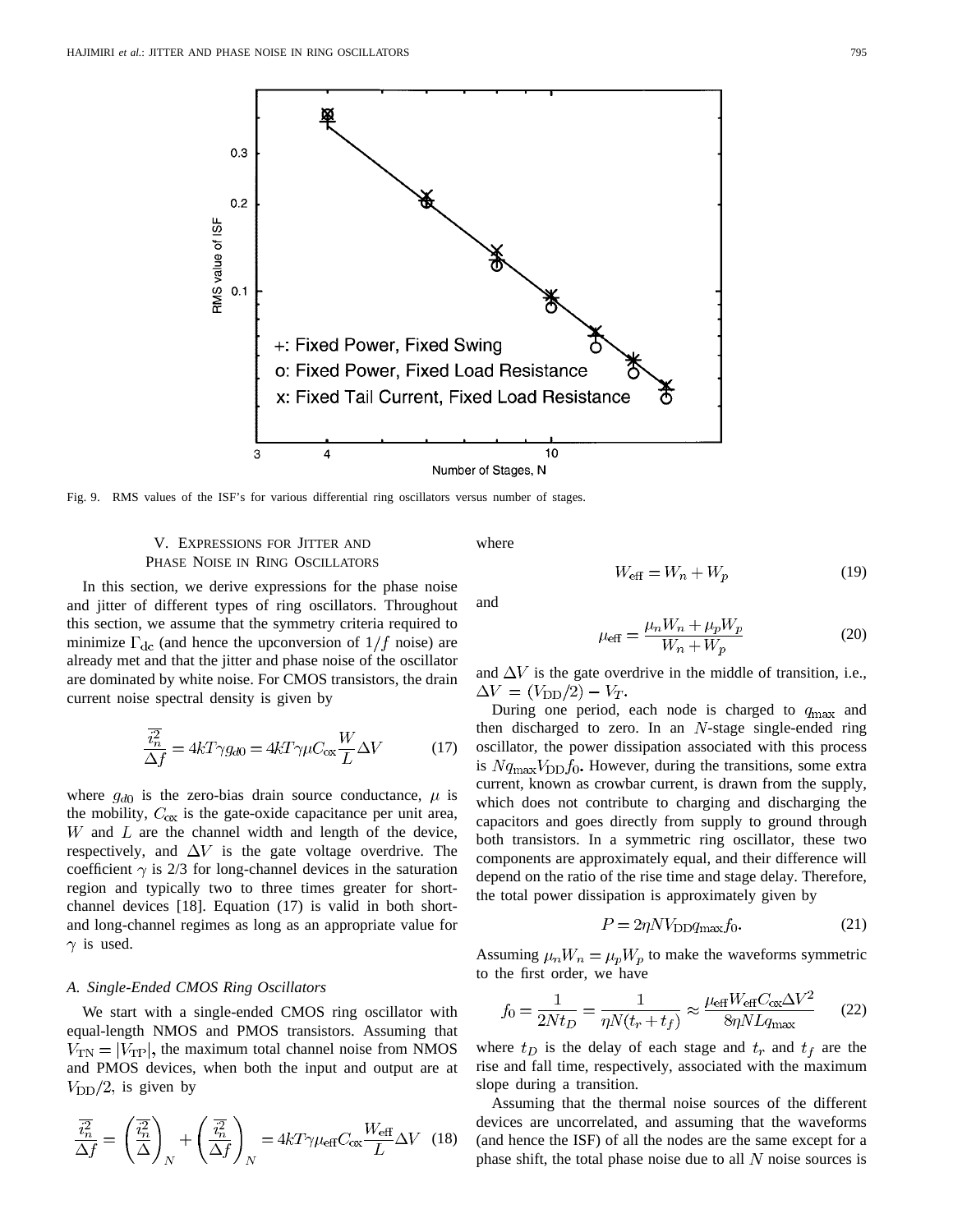

Fig. 9. RMS values of the ISF's for various differential ring oscillators versus number of stages.

# V. EXPRESSIONS FOR JITTER AND PHASE NOISE IN RING OSCILLATORS

In this section, we derive expressions for the phase noise and jitter of different types of ring oscillators. Throughout this section, we assume that the symmetry criteria required to minimize  $\Gamma_{\text{dc}}$  (and hence the upconversion of  $1/f$  noise) are already met and that the jitter and phase noise of the oscillator are dominated by white noise. For CMOS transistors, the drain current noise spectral density is given by

$$
\frac{\overline{i_n^2}}{\Delta f} = 4kT\gamma g_{d0} = 4kT\gamma\mu C_{\infty}\frac{W}{L}\Delta V\tag{17}
$$

where  $g_{d0}$  is the zero-bias drain source conductance,  $\mu$  is the mobility,  $C_{\text{ox}}$  is the gate-oxide capacitance per unit area,  $W$  and  $L$  are the channel width and length of the device, respectively, and  $\Delta V$  is the gate voltage overdrive. The coefficient  $\gamma$  is 2/3 for long-channel devices in the saturation region and typically two to three times greater for shortchannel devices [18]. Equation (17) is valid in both shortand long-channel regimes as long as an appropriate value for  $\gamma$  is used.

#### *A. Single-Ended CMOS Ring Oscillators*

We start with a single-ended CMOS ring oscillator with equal-length NMOS and PMOS transistors. Assuming that  $V_{\text{TN}} = |V_{\text{TP}}|$ , the maximum total channel noise from NMOS and PMOS devices, when both the input and output are at  $V<sub>DD</sub>/2$ , is given by

$$
\frac{\overline{i_n^2}}{\Delta f} = \left(\frac{\overline{i_n^2}}{\Delta}\right)_N + \left(\frac{\overline{i_n^2}}{\Delta f}\right)_N = 4kT\gamma\mu_{\text{eff}}C_{\text{cx}}\frac{W_{\text{eff}}}{L}\Delta V \quad (18)
$$

where

and

$$
W_{\text{eff}} = W_n + W_p \tag{19}
$$

$$
\mu_{\text{eff}} = \frac{\mu_n W_n + \mu_p W_p}{W_n + W_n} \tag{20}
$$

and  $\Delta V$  is the gate overdrive in the middle of transition, i.e.,  $\Delta V = (V_{\text{DD}}/2) - V_T.$ 

During one period, each node is charged to  $q_{\text{max}}$  and then discharged to zero. In an  $N$ -stage single-ended ring oscillator, the power dissipation associated with this process is  $Nq_{\text{max}}V_{\text{DD}}f_0$ . However, during the transitions, some extra current, known as crowbar current, is drawn from the supply, which does not contribute to charging and discharging the capacitors and goes directly from supply to ground through both transistors. In a symmetric ring oscillator, these two components are approximately equal, and their difference will depend on the ratio of the rise time and stage delay. Therefore, the total power dissipation is approximately given by

$$
P = 2\eta N V_{\text{DD}} q_{\text{max}} f_0. \tag{21}
$$

Assuming  $\mu_n W_n = \mu_p W_p$  to make the waveforms symmetric to the first order, we have

$$
f_0 = \frac{1}{2Nt_D} = \frac{1}{\eta N(t_r + t_f)} \approx \frac{\mu_{\text{eff}} W_{\text{eff}} C_{\text{ox}} \Delta V^2}{8\eta N L q_{\text{max}}} \tag{22}
$$

where  $t_D$  is the delay of each stage and  $t_T$  and  $t_f$  are the rise and fall time, respectively, associated with the maximum slope during a transition.

Assuming that the thermal noise sources of the different devices are uncorrelated, and assuming that the waveforms (and hence the ISF) of all the nodes are the same except for a phase shift, the total phase noise due to all  $N$  noise sources is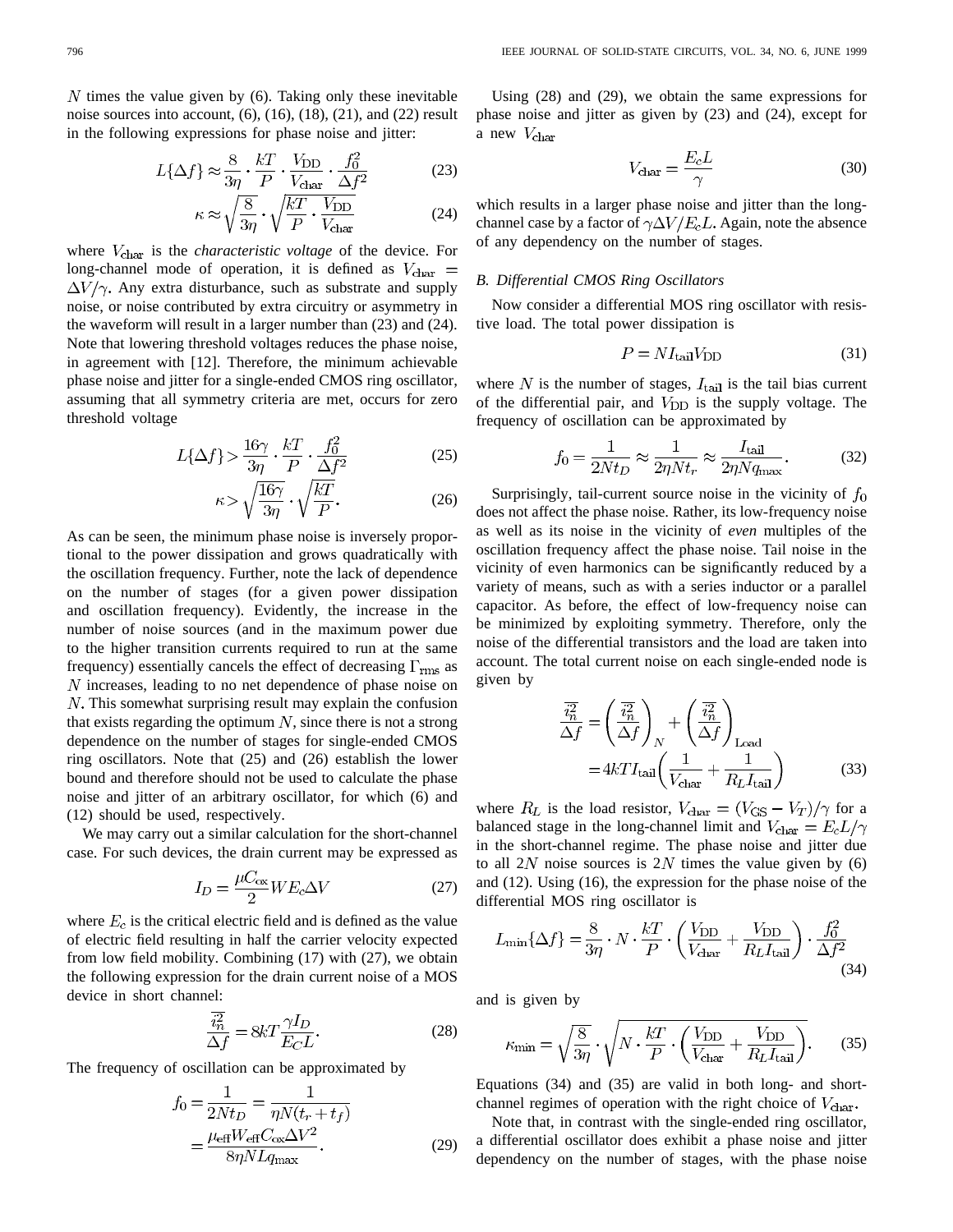$N$  times the value given by (6). Taking only these inevitable noise sources into account,  $(6)$ ,  $(16)$ ,  $(18)$ ,  $(21)$ , and  $(22)$  result in the following expressions for phase noise and jitter:

$$
L{\{\Delta f\}} \approx \frac{8}{3\eta} \cdot \frac{kT}{P} \cdot \frac{V_{\text{DD}}}{V_{\text{char}}} \cdot \frac{f_0^2}{\Delta f^2}
$$
 (23)

$$
\kappa \approx \sqrt{\frac{8}{3\eta}} \cdot \sqrt{\frac{kT}{P}} \cdot \frac{V_{\text{DD}}}{V_{\text{char}}} \tag{24}
$$

where  $V_{\text{char}}$  is the *characteristic voltage* of the device. For long-channel mode of operation, it is defined as  $V_{\text{char}} =$  $\Delta V/\gamma$ . Any extra disturbance, such as substrate and supply noise, or noise contributed by extra circuitry or asymmetry in the waveform will result in a larger number than (23) and (24). Note that lowering threshold voltages reduces the phase noise, in agreement with [12]. Therefore, the minimum achievable phase noise and jitter for a single-ended CMOS ring oscillator, assuming that all symmetry criteria are met, occurs for zero threshold voltage

$$
L{\{\Delta f\}} > \frac{16\gamma}{3\eta} \cdot \frac{kT}{P} \cdot \frac{f_0^2}{\Delta f^2}
$$
 (25)

$$
\kappa > \sqrt{\frac{16\gamma}{3\eta}} \cdot \sqrt{\frac{kT}{P}}.\tag{26}
$$

As can be seen, the minimum phase noise is inversely proportional to the power dissipation and grows quadratically with the oscillation frequency. Further, note the lack of dependence on the number of stages (for a given power dissipation and oscillation frequency). Evidently, the increase in the number of noise sources (and in the maximum power due to the higher transition currents required to run at the same frequency) essentially cancels the effect of decreasing  $\Gamma_{\rm rms}$  as  $N$  increases, leading to no net dependence of phase noise on  $N$ . This somewhat surprising result may explain the confusion that exists regarding the optimum  $N$ , since there is not a strong dependence on the number of stages for single-ended CMOS ring oscillators. Note that (25) and (26) establish the lower bound and therefore should not be used to calculate the phase noise and jitter of an arbitrary oscillator, for which (6) and (12) should be used, respectively.

We may carry out a similar calculation for the short-channel case. For such devices, the drain current may be expressed as

$$
I_D = \frac{\mu C_{\text{ox}}}{2} W E_c \Delta V \tag{27}
$$

where  $E_c$  is the critical electric field and is defined as the value of electric field resulting in half the carrier velocity expected from low field mobility. Combining (17) with (27), we obtain the following expression for the drain current noise of a MOS device in short channel:

$$
\frac{i_n^2}{\Delta f} = 8kT \frac{\gamma I_D}{E_C L}.
$$
\n(28)

The frequency of oscillation can be approximated by

$$
f_0 = \frac{1}{2Nt_D} = \frac{1}{\eta N(t_r + t_f)}
$$

$$
= \frac{\mu_{\text{eff}} W_{\text{eff}} C_{\text{ox}} \Delta V^2}{8\eta N L q_{\text{max}}}.
$$
(29)

Using (28) and (29), we obtain the same expressions for phase noise and jitter as given by (23) and (24), except for a new  $V_{\text{char}}$ 

$$
V_{\text{char}} = \frac{E_c L}{\gamma} \tag{30}
$$

which results in a larger phase noise and jitter than the longchannel case by a factor of  $\gamma \Delta V / E_c L$ . Again, note the absence of any dependency on the number of stages.

## *B. Differential CMOS Ring Oscillators*

Now consider a differential MOS ring oscillator with resistive load. The total power dissipation is

$$
P = NI_{\text{tail}}V_{\text{DD}}\tag{31}
$$

where  $N$  is the number of stages,  $I_{tail}$  is the tail bias current of the differential pair, and  $V_{\text{DD}}$  is the supply voltage. The frequency of oscillation can be approximated by

$$
f_0 = \frac{1}{2Nt_D} \approx \frac{1}{2\eta Nt_r} \approx \frac{I_{\text{tail}}}{2\eta Nq_{\text{max}}}.\tag{32}
$$

Surprisingly, tail-current source noise in the vicinity of  $f_0$ does not affect the phase noise. Rather, its low-frequency noise as well as its noise in the vicinity of *even* multiples of the oscillation frequency affect the phase noise. Tail noise in the vicinity of even harmonics can be significantly reduced by a variety of means, such as with a series inductor or a parallel capacitor. As before, the effect of low-frequency noise can be minimized by exploiting symmetry. Therefore, only the noise of the differential transistors and the load are taken into account. The total current noise on each single-ended node is given by

$$
\frac{\overline{i_n^2}}{\Delta f} = \left(\frac{\overline{i_n^2}}{\Delta f}\right)_N + \left(\frac{\overline{i_n^2}}{\Delta f}\right)_{\text{Load}}
$$

$$
= 4kTI_{\text{tail}}\left(\frac{1}{V_{\text{char}}} + \frac{1}{R_L I_{\text{tail}}}\right) \tag{33}
$$

where  $R_L$  is the load resistor,  $V_{\text{char}} = (V_{\text{GS}} - V_T)/\gamma$  for a balanced stage in the long-channel limit and  $V_{\text{char}} = E_c L / \gamma$ in the short-channel regime. The phase noise and jitter due to all  $2N$  noise sources is  $2N$  times the value given by (6) and (12). Using (16), the expression for the phase noise of the differential MOS ring oscillator is

$$
L_{\min}\{\Delta f\} = \frac{8}{3\eta} \cdot N \cdot \frac{kT}{P} \cdot \left(\frac{V_{\text{DD}}}{V_{\text{char}}} + \frac{V_{\text{DD}}}{R_L I_{\text{tail}}}\right) \cdot \frac{f_0^2}{\Delta f^2}
$$
\n(34)

and is given by

$$
\kappa_{\min} = \sqrt{\frac{8}{3\eta}} \cdot \sqrt{N \cdot \frac{kT}{P} \cdot \left(\frac{V_{\text{DD}}}{V_{\text{char}} + \frac{V_{\text{DD}}}{R_L I_{\text{tail}}}}\right)}.
$$
 (35)

Equations (34) and (35) are valid in both long- and shortchannel regimes of operation with the right choice of  $V_{\text{char}}$ .

Note that, in contrast with the single-ended ring oscillator, a differential oscillator does exhibit a phase noise and jitter dependency on the number of stages, with the phase noise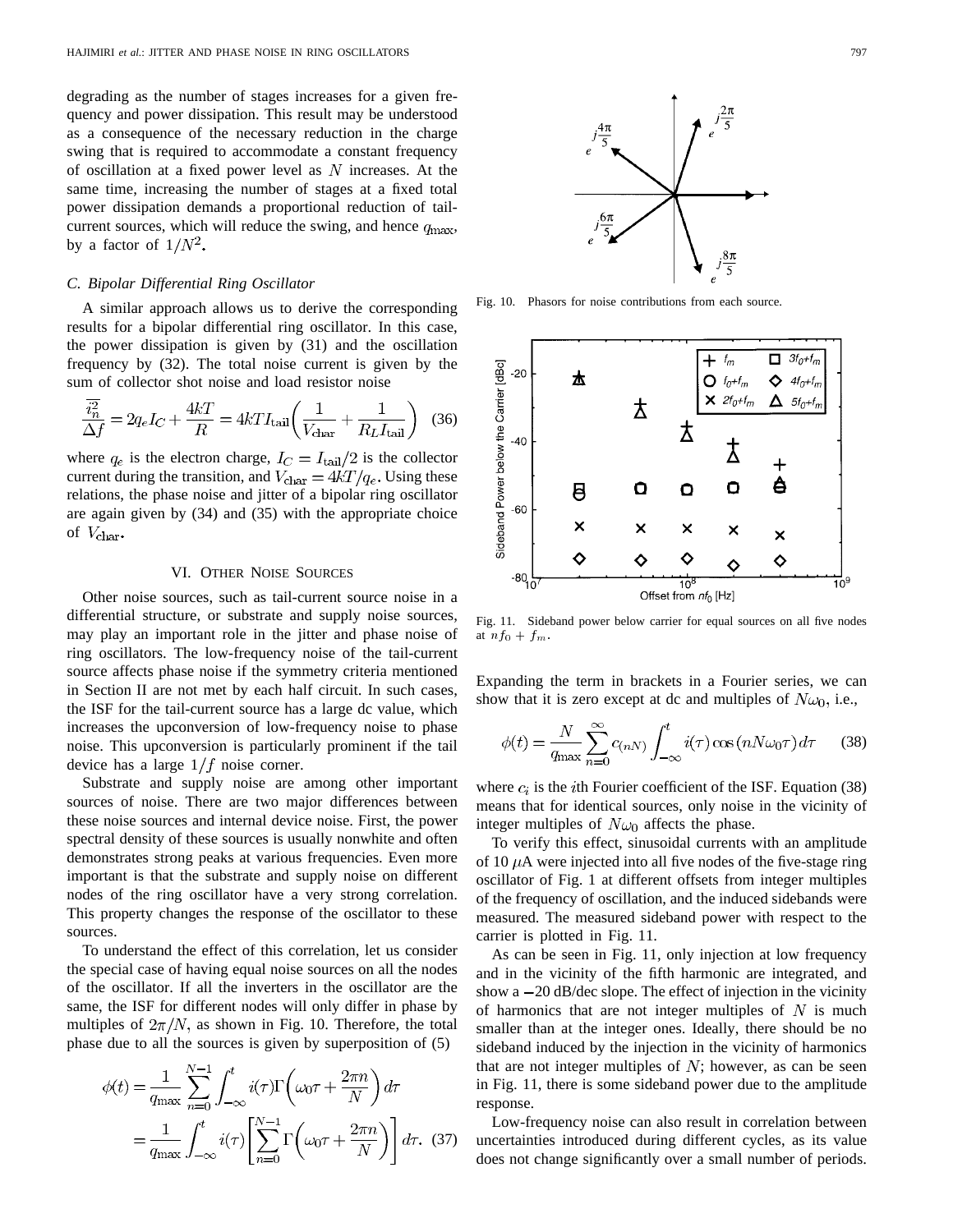degrading as the number of stages increases for a given frequency and power dissipation. This result may be understood as a consequence of the necessary reduction in the charge swing that is required to accommodate a constant frequency of oscillation at a fixed power level as  $N$  increases. At the same time, increasing the number of stages at a fixed total power dissipation demands a proportional reduction of tailcurrent sources, which will reduce the swing, and hence  $q_{\text{max}}$ , by a factor of  $1/N^2$ .

## *C. Bipolar Differential Ring Oscillator*

A similar approach allows us to derive the corresponding results for a bipolar differential ring oscillator. In this case, the power dissipation is given by (31) and the oscillation frequency by (32). The total noise current is given by the sum of collector shot noise and load resistor noise

$$
\frac{\overline{i_n^2}}{\Delta f} = 2q_e I_C + \frac{4kT}{R} = 4kT I_{\text{tail}} \left( \frac{1}{V_{\text{char}}} + \frac{1}{R_L I_{\text{tail}}} \right) \tag{36}
$$

where  $q_e$  is the electron charge,  $I_C = I_{tail}/2$  is the collector current during the transition, and  $V_{\text{char}} = 4kT/q_e$ . Using these relations, the phase noise and jitter of a bipolar ring oscillator are again given by (34) and (35) with the appropriate choice of  $V_{\text{char}}$ .

## VI. OTHER NOISE SOURCES

Other noise sources, such as tail-current source noise in a differential structure, or substrate and supply noise sources, may play an important role in the jitter and phase noise of ring oscillators. The low-frequency noise of the tail-current source affects phase noise if the symmetry criteria mentioned in Section II are not met by each half circuit. In such cases, the ISF for the tail-current source has a large dc value, which increases the upconversion of low-frequency noise to phase noise. This upconversion is particularly prominent if the tail device has a large  $1/f$  noise corner.

Substrate and supply noise are among other important sources of noise. There are two major differences between these noise sources and internal device noise. First, the power spectral density of these sources is usually nonwhite and often demonstrates strong peaks at various frequencies. Even more important is that the substrate and supply noise on different nodes of the ring oscillator have a very strong correlation. This property changes the response of the oscillator to these sources.

To understand the effect of this correlation, let us consider the special case of having equal noise sources on all the nodes of the oscillator. If all the inverters in the oscillator are the same, the ISF for different nodes will only differ in phase by multiples of  $2\pi/N$ , as shown in Fig. 10. Therefore, the total phase due to all the sources is given by superposition of (5)

$$
\phi(t) = \frac{1}{q_{\text{max}}} \sum_{n=0}^{N-1} \int_{-\infty}^{t} i(\tau) \Gamma\left(\omega_0 \tau + \frac{2\pi n}{N}\right) d\tau
$$

$$
= \frac{1}{q_{\text{max}}} \int_{-\infty}^{t} i(\tau) \left[\sum_{n=0}^{N-1} \Gamma\left(\omega_0 \tau + \frac{2\pi n}{N}\right)\right] d\tau. \tag{37}
$$



Fig. 10. Phasors for noise contributions from each source.



Fig. 11. Sideband power below carrier for equal sources on all five nodes at  $nf_0 + f_m$ .

Expanding the term in brackets in a Fourier series, we can show that it is zero except at dc and multiples of  $N\omega_0$ , i.e.,

$$
\phi(t) = \frac{N}{q_{\text{max}}} \sum_{n=0}^{\infty} c_{(nN)} \int_{-\infty}^{t} i(\tau) \cos(nN\omega_0 \tau) d\tau \qquad (38)
$$

where  $c_i$  is the *i*th Fourier coefficient of the ISF. Equation (38) means that for identical sources, only noise in the vicinity of integer multiples of  $N\omega_0$  affects the phase.

To verify this effect, sinusoidal currents with an amplitude of 10  $\mu$ A were injected into all five nodes of the five-stage ring oscillator of Fig. 1 at different offsets from integer multiples of the frequency of oscillation, and the induced sidebands were measured. The measured sideband power with respect to the carrier is plotted in Fig. 11.

As can be seen in Fig. 11, only injection at low frequency and in the vicinity of the fifth harmonic are integrated, and show  $a - 20$  dB/dec slope. The effect of injection in the vicinity of harmonics that are not integer multiples of  $N$  is much smaller than at the integer ones. Ideally, there should be no sideband induced by the injection in the vicinity of harmonics that are not integer multiples of  $N$ ; however, as can be seen in Fig. 11, there is some sideband power due to the amplitude response.

Low-frequency noise can also result in correlation between uncertainties introduced during different cycles, as its value does not change significantly over a small number of periods.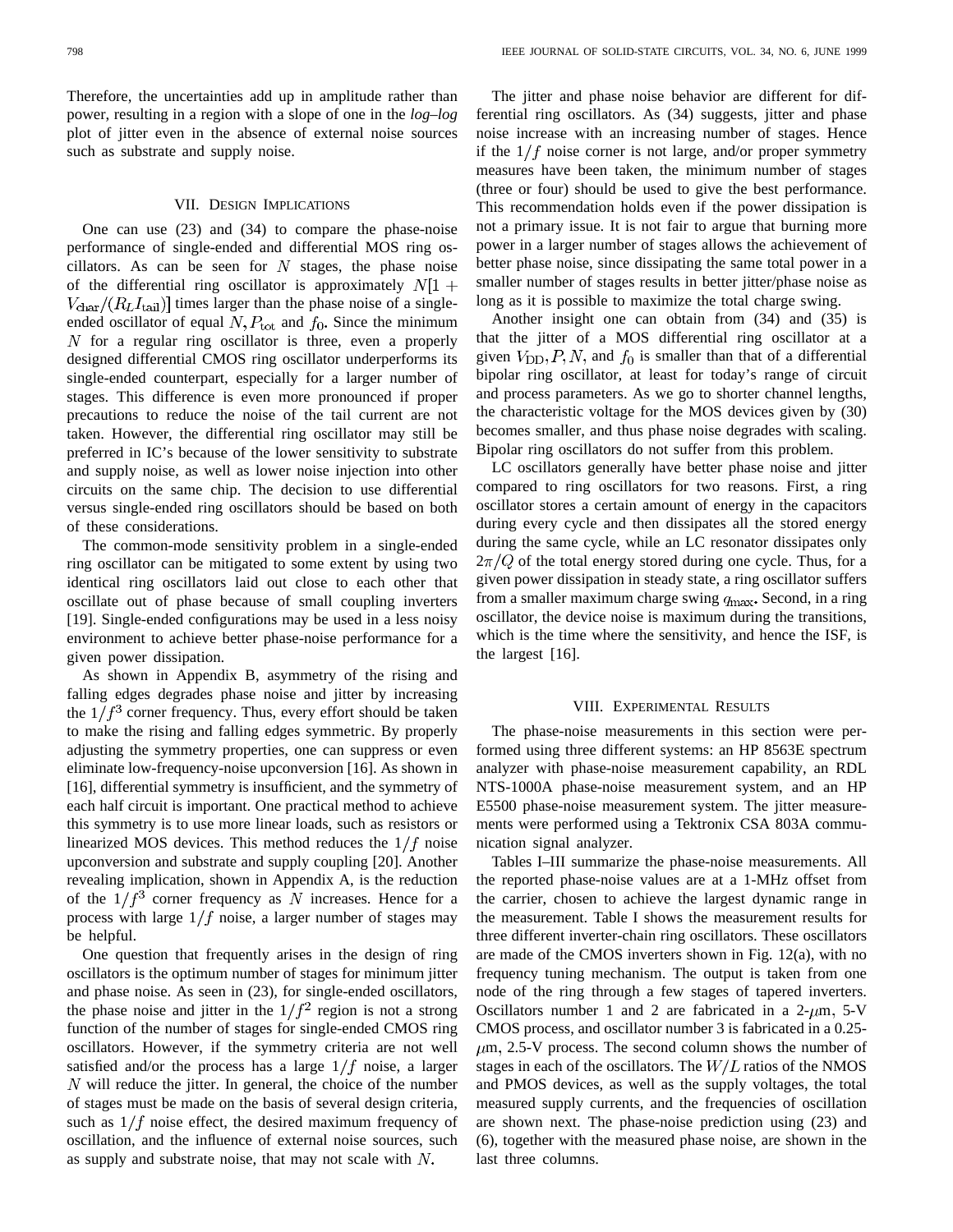Therefore, the uncertainties add up in amplitude rather than power, resulting in a region with a slope of one in the *log–log* plot of jitter even in the absence of external noise sources such as substrate and supply noise.

## VII. DESIGN IMPLICATIONS

One can use (23) and (34) to compare the phase-noise performance of single-ended and differential MOS ring oscillators. As can be seen for  $N$  stages, the phase noise of the differential ring oscillator is approximately  $N[1 +$  $V_{\text{char}}/(R_L I_{\text{tail}})$  times larger than the phase noise of a singleended oscillator of equal  $N$ ,  $P_{\text{tot}}$  and  $f_0$ . Since the minimum  $N$  for a regular ring oscillator is three, even a properly designed differential CMOS ring oscillator underperforms its single-ended counterpart, especially for a larger number of stages. This difference is even more pronounced if proper precautions to reduce the noise of the tail current are not taken. However, the differential ring oscillator may still be preferred in IC's because of the lower sensitivity to substrate and supply noise, as well as lower noise injection into other circuits on the same chip. The decision to use differential versus single-ended ring oscillators should be based on both of these considerations.

The common-mode sensitivity problem in a single-ended ring oscillator can be mitigated to some extent by using two identical ring oscillators laid out close to each other that oscillate out of phase because of small coupling inverters [19]. Single-ended configurations may be used in a less noisy environment to achieve better phase-noise performance for a given power dissipation.

As shown in Appendix B, asymmetry of the rising and falling edges degrades phase noise and jitter by increasing the  $1/f<sup>3</sup>$  corner frequency. Thus, every effort should be taken to make the rising and falling edges symmetric. By properly adjusting the symmetry properties, one can suppress or even eliminate low-frequency-noise upconversion [16]. As shown in [16], differential symmetry is insufficient, and the symmetry of each half circuit is important. One practical method to achieve this symmetry is to use more linear loads, such as resistors or linearized MOS devices. This method reduces the  $1/f$  noise upconversion and substrate and supply coupling [20]. Another revealing implication, shown in Appendix A, is the reduction of the  $1/f<sup>3</sup>$  corner frequency as N increases. Hence for a process with large  $1/f$  noise, a larger number of stages may be helpful.

One question that frequently arises in the design of ring oscillators is the optimum number of stages for minimum jitter and phase noise. As seen in (23), for single-ended oscillators, the phase noise and jitter in the  $1/f^2$  region is not a strong function of the number of stages for single-ended CMOS ring oscillators. However, if the symmetry criteria are not well satisfied and/or the process has a large  $1/f$  noise, a larger  $N$  will reduce the jitter. In general, the choice of the number of stages must be made on the basis of several design criteria, such as  $1/f$  noise effect, the desired maximum frequency of oscillation, and the influence of external noise sources, such as supply and substrate noise, that may not scale with  $N$ .

The jitter and phase noise behavior are different for differential ring oscillators. As (34) suggests, jitter and phase noise increase with an increasing number of stages. Hence if the  $1/f$  noise corner is not large, and/or proper symmetry measures have been taken, the minimum number of stages (three or four) should be used to give the best performance. This recommendation holds even if the power dissipation is not a primary issue. It is not fair to argue that burning more power in a larger number of stages allows the achievement of better phase noise, since dissipating the same total power in a smaller number of stages results in better jitter/phase noise as long as it is possible to maximize the total charge swing.

Another insight one can obtain from (34) and (35) is that the jitter of a MOS differential ring oscillator at a given  $V_{\text{DD}}$ , P, N, and  $f_0$  is smaller than that of a differential bipolar ring oscillator, at least for today's range of circuit and process parameters. As we go to shorter channel lengths, the characteristic voltage for the MOS devices given by (30) becomes smaller, and thus phase noise degrades with scaling. Bipolar ring oscillators do not suffer from this problem.

LC oscillators generally have better phase noise and jitter compared to ring oscillators for two reasons. First, a ring oscillator stores a certain amount of energy in the capacitors during every cycle and then dissipates all the stored energy during the same cycle, while an LC resonator dissipates only  $2\pi/Q$  of the total energy stored during one cycle. Thus, for a given power dissipation in steady state, a ring oscillator suffers from a smaller maximum charge swing  $q_{\text{max}}$ . Second, in a ring oscillator, the device noise is maximum during the transitions, which is the time where the sensitivity, and hence the ISF, is the largest [16].

#### VIII. EXPERIMENTAL RESULTS

The phase-noise measurements in this section were performed using three different systems: an HP 8563E spectrum analyzer with phase-noise measurement capability, an RDL NTS-1000A phase-noise measurement system, and an HP E5500 phase-noise measurement system. The jitter measurements were performed using a Tektronix CSA 803A communication signal analyzer.

Tables I–III summarize the phase-noise measurements. All the reported phase-noise values are at a 1-MHz offset from the carrier, chosen to achieve the largest dynamic range in the measurement. Table I shows the measurement results for three different inverter-chain ring oscillators. These oscillators are made of the CMOS inverters shown in Fig. 12(a), with no frequency tuning mechanism. The output is taken from one node of the ring through a few stages of tapered inverters. Oscillators number 1 and 2 are fabricated in a  $2-\mu m$ , 5-V CMOS process, and oscillator number 3 is fabricated in a 0.25-  $\mu$ m, 2.5-V process. The second column shows the number of stages in each of the oscillators. The  $W/L$  ratios of the NMOS and PMOS devices, as well as the supply voltages, the total measured supply currents, and the frequencies of oscillation are shown next. The phase-noise prediction using (23) and (6), together with the measured phase noise, are shown in the last three columns.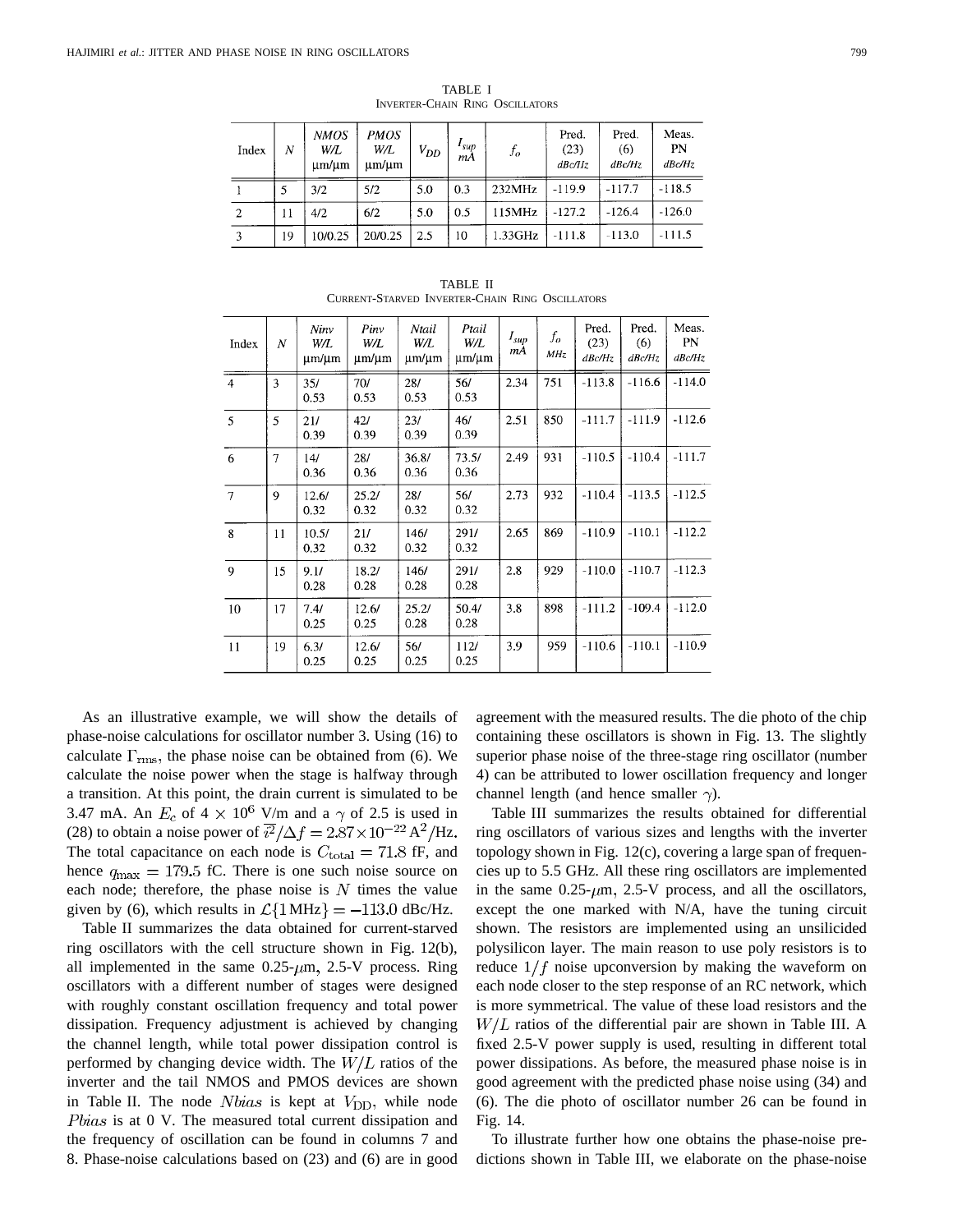| Index | N  | <b>NMOS</b><br>W/L<br>$\mu$ m/ $\mu$ m | <b>PMOS</b><br>W/L<br>$\mu$ m/ $\mu$ m | $V_{DD}$ | sup<br>mА | $f_o$   | Pred.<br>(23)<br>dBc/Hz | Pred.<br>(6)<br>dBc/Hz | Meas.<br>PN<br>dBc/Hz |
|-------|----|----------------------------------------|----------------------------------------|----------|-----------|---------|-------------------------|------------------------|-----------------------|
|       | 5  | 3/2                                    | 5/2                                    | 5.0      | 0.3       | 232MHz  | $-119.9$                | $-117.7$               | $-118.5$              |
| 2     | 11 | 4/2                                    | 6/2                                    | 5.0      | 0.5       | 115MHz  | $-127.2$                | $-126.4$               | $-126.0$              |
| 3     | 19 | 10/0.25                                | 20/0.25                                | 2.5      | 10        | 1.33GHz | $-111.8$                | $-113.0$               | $-111.5$              |

TABLE I INVERTER-CHAIN RING OSCILLATORS

| Index          | $\boldsymbol{N}$ | Ninv<br>W/L<br>$\mu$ m/ $\mu$ m | $P$ <i>inv</i><br>W/L<br>$\mu$ m/ $\mu$ m | Ntail<br>W/L<br>$\mu$ m/ $\mu$ m | Ptail<br>W/L<br>$\mu$ m/ $\mu$ m | $I_{sup}$<br>mA | $f_o$<br>MHz | Pred.<br>(23)<br>dBc/Hz | Pred.<br>(6)<br>dBc/Hz | Meas.<br>PN<br>dBc/Hz |
|----------------|------------------|---------------------------------|-------------------------------------------|----------------------------------|----------------------------------|-----------------|--------------|-------------------------|------------------------|-----------------------|
| $\overline{4}$ | 3                | 35/<br>0.53                     | 70/<br>0.53                               | 28/<br>0.53                      | 56/<br>0.53                      | 2.34            | 751          | $-113.8$                | $-116.6$               | $-114.0$              |
| 5              | 5                | 21/<br>0.39                     | 421<br>0.39                               | 23/<br>0.39                      | 46/<br>0.39                      | 2.51            | 850          | $-111.7$                | $-111.9$               | $-112.6$              |
| 6              | 7                | 14/<br>0.36                     | 28/<br>0.36                               | 36.8/<br>0.36                    | 73.5/<br>0.36                    | 2.49            | 931          | $-110.5$                | $-110.4$               | $-111.7$              |
| 7              | 9                | 12.6/<br>0.32                   | 25.21<br>0.32                             | 28/<br>0.32                      | 56/<br>0.32                      | 2.73            | 932          | $-110.4$                | $-113.5$               | $-112.5$              |
| 8              | 11               | 10.5/<br>0.32                   | 21/<br>0.32                               | 146/<br>0.32                     | 291/<br>0.32                     | 2.65            | 869          | $-110.9$                | $-110.1$               | $-112.2$              |
| 9              | 15               | 9.1/<br>0.28                    | 18.2/<br>0.28                             | 146/<br>0.28                     | 291/<br>0.28                     | 2.8             | 929          | $-110.0$                | $-110.7$               | $-112.3$              |
| 10             | 17               | 7.41<br>0.25                    | 12.6/<br>0.25                             | 25.2/<br>0.28                    | 50.4/<br>0.28                    | 3.8             | 898          | $-111.2$                | $-109.4$               | $-112.0$              |
| 11             | 19               | 6.31<br>0.25                    | 12.6/<br>0.25                             | 56/<br>0.25                      | 112/<br>0.25                     | 3.9             | 959          | $-110.6$                | $-110.1$               | $-110.9$              |

TABLE II CURRENT-STARVED INVERTER-CHAIN RING OSCILLATORS

As an illustrative example, we will show the details of phase-noise calculations for oscillator number 3. Using (16) to calculate  $\Gamma_{\rm rms}$ , the phase noise can be obtained from (6). We calculate the noise power when the stage is halfway through a transition. At this point, the drain current is simulated to be 3.47 mA. An  $E_c$  of  $4 \times 10^6$  V/m and a  $\gamma$  of 2.5 is used in (28) to obtain a noise power of  $\overline{i^2}/\Delta f = 2.87 \times 10^{-22} \text{ A}^2/\text{Hz}$ . The total capacitance on each node is  $C_{total} = 71.8$  fF, and hence  $q_{\text{max}} = 179.5$  fC. There is one such noise source on each node; therefore, the phase noise is  $N$  times the value given by (6), which results in  $\mathcal{L}{1}MHz$  = -113.0 dBc/Hz.

Table II summarizes the data obtained for current-starved ring oscillators with the cell structure shown in Fig. 12(b), all implemented in the same  $0.25-\mu m$ , 2.5-V process. Ring oscillators with a different number of stages were designed with roughly constant oscillation frequency and total power dissipation. Frequency adjustment is achieved by changing the channel length, while total power dissipation control is performed by changing device width. The  $W/L$  ratios of the inverter and the tail NMOS and PMOS devices are shown in Table II. The node  $Nbias$  is kept at  $V_{DD}$ , while node  $Pbias$  is at 0 V. The measured total current dissipation and the frequency of oscillation can be found in columns 7 and 8. Phase-noise calculations based on (23) and (6) are in good

agreement with the measured results. The die photo of the chip containing these oscillators is shown in Fig. 13. The slightly superior phase noise of the three-stage ring oscillator (number 4) can be attributed to lower oscillation frequency and longer channel length (and hence smaller  $\gamma$ ).

Table III summarizes the results obtained for differential ring oscillators of various sizes and lengths with the inverter topology shown in Fig. 12(c), covering a large span of frequencies up to 5.5 GHz. All these ring oscillators are implemented in the same  $0.25-\mu m$ , 2.5-V process, and all the oscillators, except the one marked with N/A, have the tuning circuit shown. The resistors are implemented using an unsilicided polysilicon layer. The main reason to use poly resistors is to reduce  $1/f$  noise upconversion by making the waveform on each node closer to the step response of an RC network, which is more symmetrical. The value of these load resistors and the  $W/L$  ratios of the differential pair are shown in Table III. A fixed 2.5-V power supply is used, resulting in different total power dissipations. As before, the measured phase noise is in good agreement with the predicted phase noise using (34) and (6). The die photo of oscillator number 26 can be found in Fig. 14.

To illustrate further how one obtains the phase-noise predictions shown in Table III, we elaborate on the phase-noise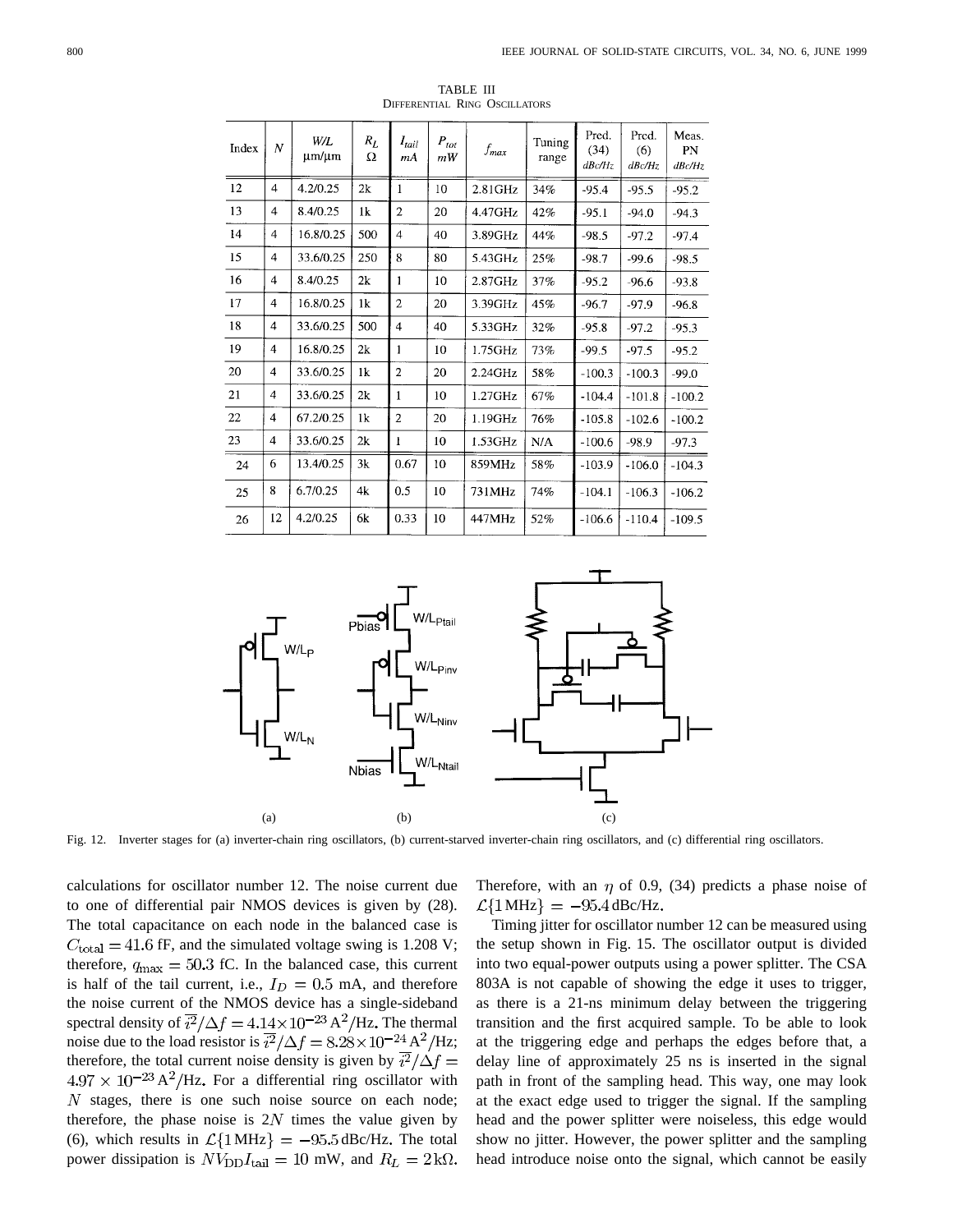| Index | N              | W/L<br>$\mu$ m/ $\mu$ m | $R_L$<br>$\Omega$ | $I_{tail}$<br>mA | $P_{tot}$<br>mW | $f_{max}$  | Tuning<br>range | Pred.<br>(34)<br>dBc/Hz | Pred.<br>(6)<br>dBc/Hz | Meas.<br>PN<br>dBc/Hz |
|-------|----------------|-------------------------|-------------------|------------------|-----------------|------------|-----------------|-------------------------|------------------------|-----------------------|
| 12    | $\overline{4}$ | 4.2/0.25                | 2k                | $\mathbf{1}$     | 10              | 2.81GHz    | 34%             | $-95.4$                 | $-95.5$                | $-95.2$               |
| 13    | $\overline{4}$ | 8.4/0.25                | 1k                | $\overline{2}$   | 20              | 4.47GHz    | 42%             | $-95.1$                 | $-94.0$                | $-94.3$               |
| 14    | $\overline{4}$ | 16.8/0.25               | 500               | 4                | 40              | 3.89GHz    | 44%             | $-98.5$                 | $-97.2$                | $-97.4$               |
| 15    | 4              | 33.6/0.25               | 250               | 8                | 80              | 5.43GHz    | 25%             | $-98.7$                 | $-99.6$                | $-98.5$               |
| 16    | $\overline{4}$ | 8.4/0.25                | 2k                | 1                | 10              | 2.87GHz    | 37%             | $-95.2$                 | $-96.6$                | $-93.8$               |
| 17    | $\overline{4}$ | 16.8/0.25               | 1k                | $\overline{2}$   | 20              | 3.39GHz    | 45%             | $-96.7$                 | $-97.9$                | $-96.8$               |
| 18    | 4              | 33.6/0.25               | 500               | $\overline{4}$   | 40              | 5.33GHz    | 32%             | $-95.8$                 | $-97.2$                | $-95.3$               |
| 19    | 4              | 16.8/0.25               | 2k                | 1                | 10              | 1.75GHz    | 73%             | $-99.5$                 | $-97.5$                | $-95.2$               |
| 20    | $\overline{4}$ | 33.6/0.25               | 1k                | $\overline{2}$   | 20              | 2.24GHz    | 58%             | $-100.3$                | $-100.3$               | $-99.0$               |
| 21    | $\overline{4}$ | 33.6/0.25               | 2k                | $\mathbf{1}$     | 10              | $1.27$ GHz | 67%             | $-104.4$                | $-101.8$               | $-100.2$              |
| 22    | $\overline{4}$ | 67.2/0.25               | 1k                | $\overline{2}$   | 20              | 1.19GHz    | 76%             | $-105.8$                | $-102.6$               | $-100.2$              |
| 23    | $\overline{4}$ | 33.6/0.25               | 2k                | $\mathbf{I}$     | 10              | $1.53$ GHz | N/A             | $-100.6$                | $-98.9$                | $-97.3$               |
| 24    | 6              | 13.4/0.25               | 3k                | 0.67             | 10              | 859MHz     | 58%             | $-103.9$                | $-106.0$               | $-104.3$              |
| 25    | 8              | 6.7/0.25                | 4k                | 0.5              | 10              | 731MHz     | 74%             | $-104.1$                | $-106.3$               | $-106.2$              |
| 26    | 12             | 4.2/0.25                | 6k                | 0.33             | 10              | 447MHz     | 52%             | $-106.6$                | $-110.4$               | $-109.5$              |

TABLE III DIFFERENTIAL RING OSCILLATORS



Fig. 12. Inverter stages for (a) inverter-chain ring oscillators, (b) current-starved inverter-chain ring oscillators, and (c) differential ring oscillators.

calculations for oscillator number 12. The noise current due to one of differential pair NMOS devices is given by (28). The total capacitance on each node in the balanced case is  $C_{\text{total}} = 41.6$  fF, and the simulated voltage swing is 1.208 V; therefore,  $q_{\text{max}} = 50.3$  fC. In the balanced case, this current is half of the tail current, i.e.,  $I_D = 0.5$  mA, and therefore the noise current of the NMOS device has a single-sideband spectral density of  $\overline{i^2}/\Delta f = 4.14 \times 10^{-23} \text{ A}^2/\text{Hz}$ . The thermal noise due to the load resistor is  $\frac{1}{2} \Delta f = 8.28 \times 10^{-24} \text{ A}^2/\text{Hz}$ ; therefore, the total current noise density is given by  $\overline{i^2}/\Delta f =$  $4.97 \times 10^{-23}$  A<sup>2</sup>/Hz. For a differential ring oscillator with  $N$  stages, there is one such noise source on each node; therefore, the phase noise is  $2N$  times the value given by (6), which results in  $\mathcal{L}{1}MHz$  = -95.5 dBc/Hz. The total power dissipation is  $NV_{\text{DD}}I_{\text{tail}} = 10$  mW, and  $R_L = 2 \text{k}\Omega$ . Therefore, with an  $\eta$  of 0.9, (34) predicts a phase noise of  $\mathcal{L}{1}$ MHz $} = -95.4$ dBc/Hz.

Timing jitter for oscillator number 12 can be measured using the setup shown in Fig. 15. The oscillator output is divided into two equal-power outputs using a power splitter. The CSA 803A is not capable of showing the edge it uses to trigger, as there is a 21-ns minimum delay between the triggering transition and the first acquired sample. To be able to look at the triggering edge and perhaps the edges before that, a delay line of approximately 25 ns is inserted in the signal path in front of the sampling head. This way, one may look at the exact edge used to trigger the signal. If the sampling head and the power splitter were noiseless, this edge would show no jitter. However, the power splitter and the sampling head introduce noise onto the signal, which cannot be easily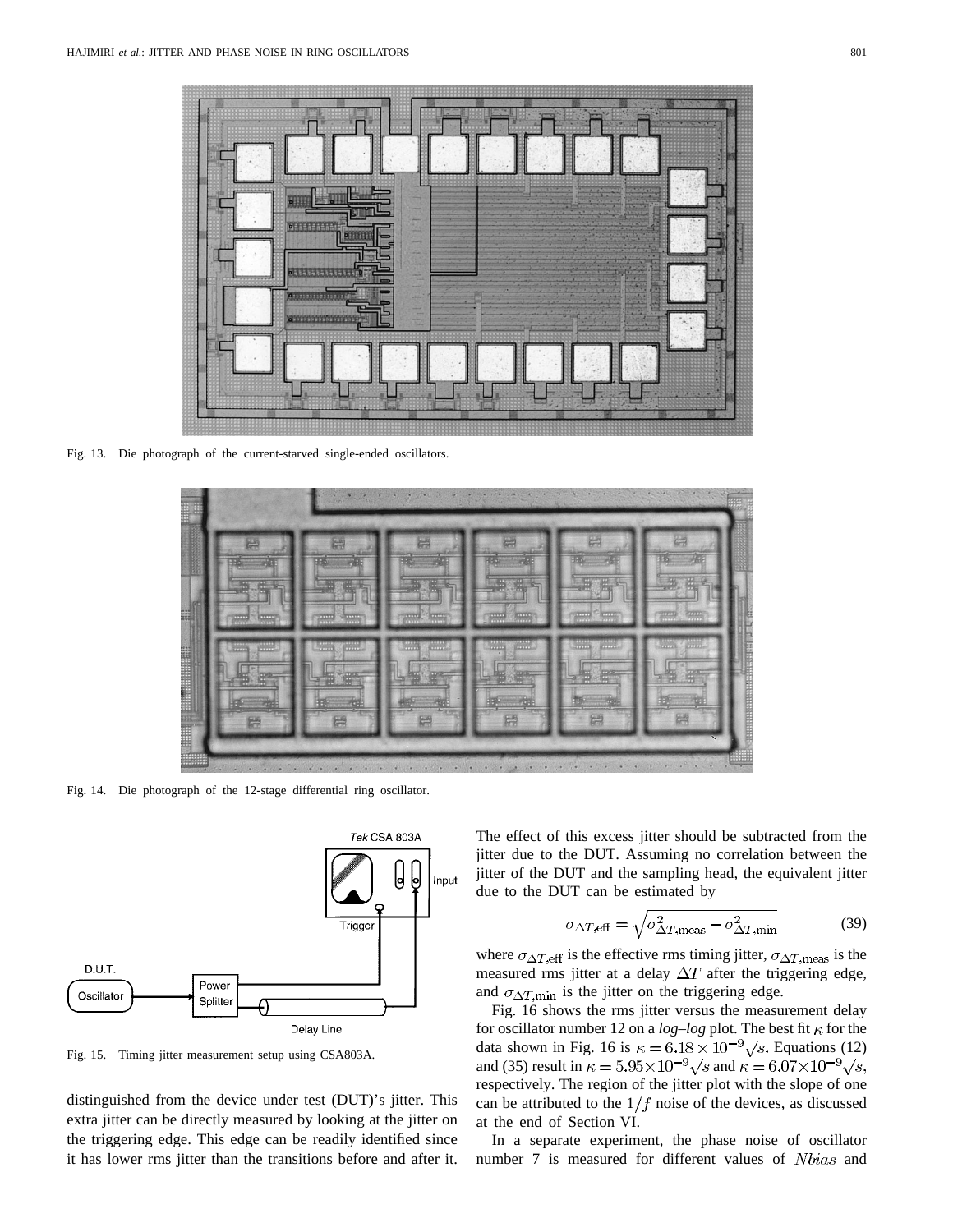

Fig. 13. Die photograph of the current-starved single-ended oscillators.



Fig. 14. Die photograph of the 12-stage differential ring oscillator.



Fig. 15. Timing jitter measurement setup using CSA803A.

distinguished from the device under test (DUT)'s jitter. This extra jitter can be directly measured by looking at the jitter on the triggering edge. This edge can be readily identified since it has lower rms jitter than the transitions before and after it.

The effect of this excess jitter should be subtracted from the jitter due to the DUT. Assuming no correlation between the jitter of the DUT and the sampling head, the equivalent jitter due to the DUT can be estimated by

$$
\sigma_{\Delta T, \text{eff}} = \sqrt{\sigma_{\Delta T, \text{meas}}^2 - \sigma_{\Delta T, \text{min}}^2}
$$
 (39)

where  $\sigma_{\Delta T, \text{eff}}$  is the effective rms timing jitter,  $\sigma_{\Delta T, \text{meas}}$  is the measured rms jitter at a delay  $\Delta T$  after the triggering edge, and  $\sigma_{\Delta T, \text{min}}$  is the jitter on the triggering edge.

Fig. 16 shows the rms jitter versus the measurement delay for oscillator number 12 on a  $log-log$  plot. The best fit  $\kappa$  for the data shown in Fig. 16 is  $\kappa = 6.18 \times 10^{-9} \sqrt{s}$ . Equations (12) and (35) result in  $\kappa = 5.95 \times 10^{-9} \sqrt{s}$  and  $\kappa = 6.07 \times 10^{-9} \sqrt{s}$ , respectively. The region of the jitter plot with the slope of one can be attributed to the  $1/f$  noise of the devices, as discussed at the end of Section VI.

In a separate experiment, the phase noise of oscillator number 7 is measured for different values of Nbias and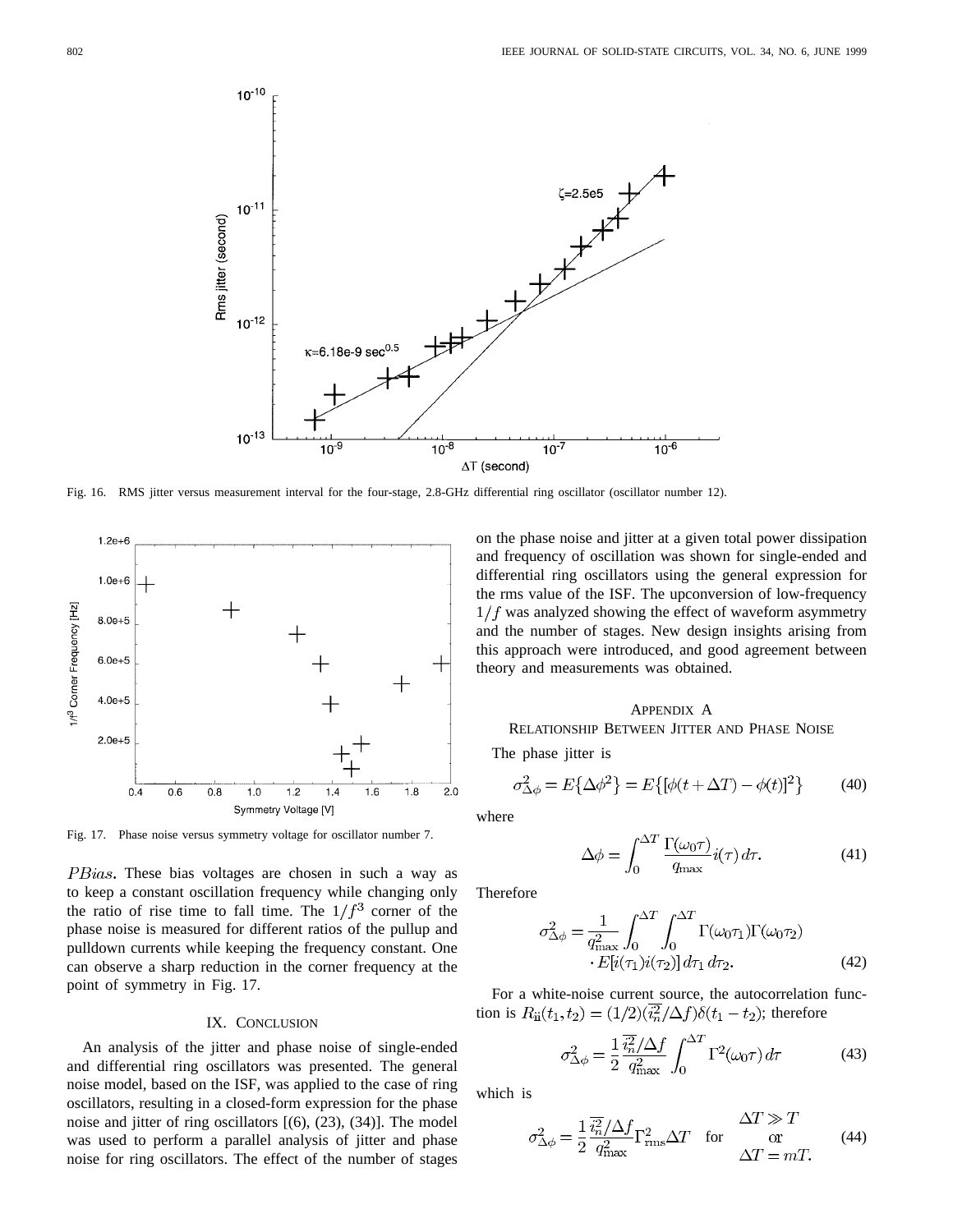

Fig. 16. RMS jitter versus measurement interval for the four-stage, 2.8-GHz differential ring oscillator (oscillator number 12).



Fig. 17. Phase noise versus symmetry voltage for oscillator number 7.

 $PBias$ . These bias voltages are chosen in such a way as to keep a constant oscillation frequency while changing only the ratio of rise time to fall time. The  $1/f^3$  corner of the phase noise is measured for different ratios of the pullup and pulldown currents while keeping the frequency constant. One can observe a sharp reduction in the corner frequency at the point of symmetry in Fig. 17.

## IX. CONCLUSION

An analysis of the jitter and phase noise of single-ended and differential ring oscillators was presented. The general noise model, based on the ISF, was applied to the case of ring oscillators, resulting in a closed-form expression for the phase noise and jitter of ring oscillators [(6), (23), (34)]. The model was used to perform a parallel analysis of jitter and phase noise for ring oscillators. The effect of the number of stages on the phase noise and jitter at a given total power dissipation and frequency of oscillation was shown for single-ended and differential ring oscillators using the general expression for the rms value of the ISF. The upconversion of low-frequency  $1/f$  was analyzed showing the effect of waveform asymmetry and the number of stages. New design insights arising from this approach were introduced, and good agreement between theory and measurements was obtained.

# APPENDIX A

# RELATIONSHIP BETWEEN JITTER AND PHASE NOISE

The phase jitter is

$$
\sigma_{\Delta\phi}^2 = E\{\Delta\phi^2\} = E\{[\phi(t + \Delta T) - \phi(t)]^2\}
$$
 (40)

where

$$
\Delta \phi = \int_0^{\Delta T} \frac{\Gamma(\omega_0 \tau)}{q_{\text{max}}} i(\tau) d\tau.
$$
 (41)

Therefore

$$
\sigma_{\Delta\phi}^2 = \frac{1}{q_{\text{max}}^2} \int_0^{\Delta T} \int_0^{\Delta T} \Gamma(\omega_0 \tau_1) \Gamma(\omega_0 \tau_2)
$$
  
 
$$
\cdot E[i(\tau_1)i(\tau_2)] d\tau_1 d\tau_2.
$$
 (42)

For a white-noise current source, the autocorrelation function is  $R_{ii}(t_1, t_2) = (1/2)(\overline{i_n^2}/\Delta f)\delta(t_1 - t_2)$ ; therefore

$$
\sigma_{\Delta\phi}^2 = \frac{1}{2} \frac{\overline{i_n^2}/\Delta f}{q_{\text{max}}^2} \int_0^{\Delta T} \Gamma^2(\omega_0 \tau) d\tau \tag{43}
$$

which is

$$
\sigma_{\Delta\phi}^2 = \frac{1}{2} \frac{\overline{i_n^2}/\Delta f}{q_{\text{max}}^2} \Gamma_{\text{rms}}^2 \Delta T \quad \text{for} \quad \begin{array}{c} \Delta T \gg T \\ \text{or} \\ \Delta T = mT. \end{array} \tag{44}
$$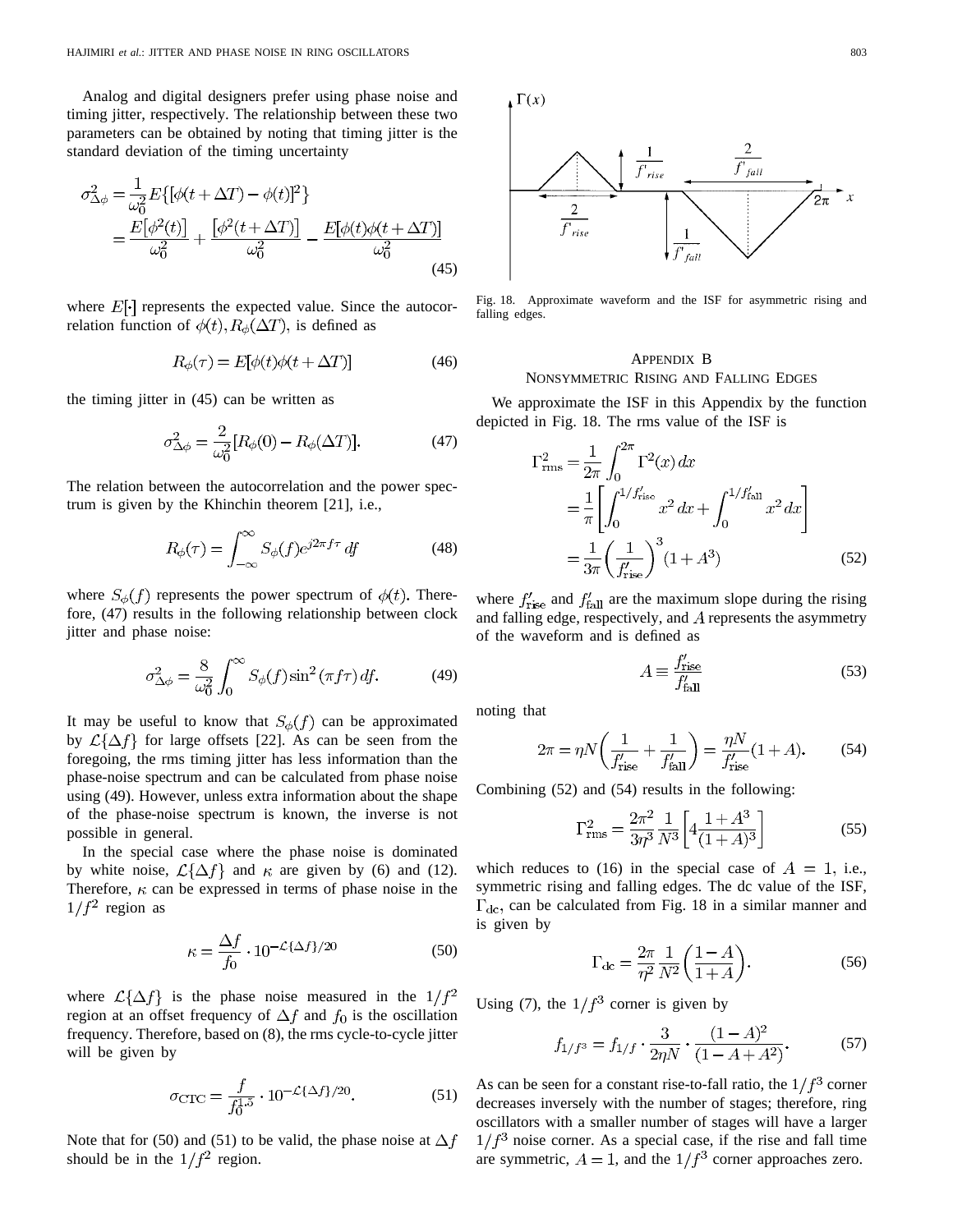Analog and digital designers prefer using phase noise and timing jitter, respectively. The relationship between these two parameters can be obtained by noting that timing jitter is the standard deviation of the timing uncertainty

$$
\sigma_{\Delta\phi}^2 = \frac{1}{\omega_0^2} E\{ [\phi(t + \Delta T) - \phi(t)]^2 \}
$$
  
= 
$$
\frac{E[\phi^2(t)]}{\omega_0^2} + \frac{[\phi^2(t + \Delta T)]}{\omega_0^2} - \frac{E[\phi(t)\phi(t + \Delta T)]}{\omega_0^2}
$$
(45)

where  $E[\cdot]$  represents the expected value. Since the autocorrelation function of  $\phi(t)$ ,  $R_{\phi}(\Delta T)$ , is defined as

$$
R_{\phi}(\tau) = E[\phi(t)\phi(t + \Delta T)] \tag{46}
$$

the timing jitter in (45) can be written as

$$
\sigma_{\Delta\phi}^2 = \frac{2}{\omega_0^2} [R_\phi(0) - R_\phi(\Delta T)]. \tag{47}
$$

The relation between the autocorrelation and the power spectrum is given by the Khinchin theorem [21], i.e.,

$$
R_{\phi}(\tau) = \int_{-\infty}^{\infty} S_{\phi}(f) e^{j2\pi f \tau} df \qquad (48)
$$

where  $S_{\phi}(f)$  represents the power spectrum of  $\phi(t)$ . Therefore, (47) results in the following relationship between clock jitter and phase noise:

$$
\sigma_{\Delta\phi}^2 = \frac{8}{\omega_0^2} \int_0^\infty S_\phi(f) \sin^2\left(\pi f \tau\right) df. \tag{49}
$$

It may be useful to know that  $S_{\phi}(f)$  can be approximated by  $\mathcal{L}\{\Delta f\}$  for large offsets [22]. As can be seen from the foregoing, the rms timing jitter has less information than the phase-noise spectrum and can be calculated from phase noise using (49). However, unless extra information about the shape of the phase-noise spectrum is known, the inverse is not possible in general.

In the special case where the phase noise is dominated by white noise,  $\mathcal{L}\{\Delta f\}$  and  $\kappa$  are given by (6) and (12). Therefore,  $\kappa$  can be expressed in terms of phase noise in the  $1/f<sup>2</sup>$  region as

$$
\kappa = \frac{\Delta f}{f_0} \cdot 10^{-\mathcal{L}\{\Delta f\}/20} \tag{50}
$$

where  $\mathcal{L}{\{\Delta f\}}$  is the phase noise measured in the  $1/f^2$ region at an offset frequency of  $\Delta f$  and  $f_0$  is the oscillation frequency. Therefore, based on (8), the rms cycle-to-cycle jitter will be given by

$$
\sigma_{\rm CTC} = \frac{f}{f_0^{1.5}} \cdot 10^{-\mathcal{L}\{\Delta f\}/20}.
$$
 (51)

Note that for (50) and (51) to be valid, the phase noise at  $\Delta f$ should be in the  $1/f^2$  region.



Fig. 18. Approximate waveform and the ISF for asymmetric rising and falling edges.

# APPENDIX B NONSYMMETRIC RISING AND FALLING EDGES

We approximate the ISF in this Appendix by the function depicted in Fig. 18. The rms value of the ISF is

$$
\Gamma_{\rm rms}^2 = \frac{1}{2\pi} \int_0^{2\pi} \Gamma^2(x) dx
$$
  
=  $\frac{1}{\pi} \left[ \int_0^{1/f'_{\rm rise}} x^2 dx + \int_0^{1/f'_{\rm fall}} x^2 dx \right]$   
=  $\frac{1}{3\pi} \left( \frac{1}{f'_{\rm rise}} \right)^3 (1 + A^3)$  (52)

where  $f'_{\text{rise}}$  and  $f'_{\text{fall}}$  are the maximum slope during the rising and falling edge, respectively, and  $A$  represents the asymmetry of the waveform and is defined as

$$
A \equiv \frac{f'_{\text{rise}}}{f'_{\text{fall}}}
$$
 (53)

noting that

$$
2\pi = \eta N \left(\frac{1}{f'_{\text{rise}}} + \frac{1}{f'_{\text{fall}}}\right) = \frac{\eta N}{f'_{\text{rise}}}(1+A). \tag{54}
$$

Combining (52) and (54) results in the following:

$$
\Gamma_{\rm rms}^2 = \frac{2\pi^2}{3\eta^3} \frac{1}{N^3} \left[ 4\frac{1+A^3}{(1+A)^3} \right] \tag{55}
$$

which reduces to (16) in the special case of  $A = 1$ , i.e., symmetric rising and falling edges. The dc value of the ISF,  $\Gamma_{\text{dc}}$ , can be calculated from Fig. 18 in a similar manner and is given by

$$
\Gamma_{\rm dc} = \frac{2\pi}{\eta^2} \frac{1}{N^2} \left( \frac{1 - A}{1 + A} \right). \tag{56}
$$

Using (7), the  $1/f^3$  corner is given by

$$
f_{1/f^3} = f_{1/f} \cdot \frac{3}{2\eta N} \cdot \frac{(1-A)^2}{(1-A+A^2)}.
$$
 (57)

As can be seen for a constant rise-to-fall ratio, the  $1/f<sup>3</sup>$  corner decreases inversely with the number of stages; therefore, ring oscillators with a smaller number of stages will have a larger  $1/f<sup>3</sup>$  noise corner. As a special case, if the rise and fall time are symmetric,  $A = 1$ , and the  $1/f<sup>3</sup>$  corner approaches zero.